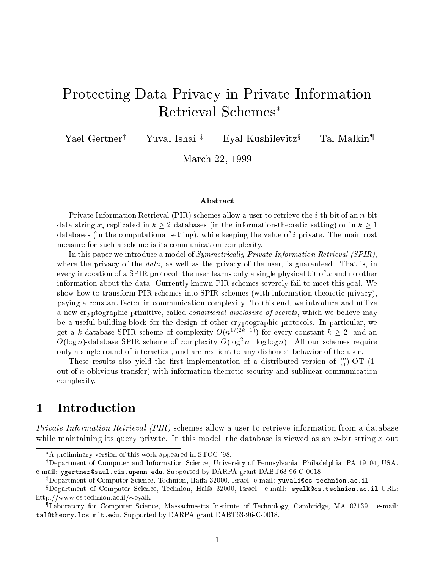# Protecting Data Privacy in Private Information Retrieval Schemes

Yael Gertner<sup>†</sup> Yuval Ishai<sup>‡</sup> Eyal Kushilevitz<sup>§</sup> Tal Malkin{

March 22, <sup>1999</sup>

#### Abstract

Private Information Retrieval (PIR) schemes allow a user to retrieve the i-th bit of an n-bit data string x, replicated in  $k \geq 2$  databases (in the information-theoretic setting) or in  $k \geq 1$ databases (in the computational setting), while keeping the value of <sup>i</sup> private. The main cost measure for such a scheme is its communication complexity.

In this paper we introduce a model of *Symmetrically-Private Information Retrieval* (*SPIR*), where the privacy of the  $data$ , as well as the privacy of the user, is guaranteed. That is, in every invocation of a SPIR protocol, the user learns only a single physical bit of  $x$  and no other information about the data. Currently known PIR schemes severely fail to meet this goal. We show how to transform PIR schemes into SPIR schemes (with information-theoretic privacy), paying a constant factor in communication complexity. To this end, we introduce and utilize a new cryptographic primitive, called conditional disclosure of secrets, which we believe may be a useful building block for the design of other cryptographic protocols. In particular, we get a k-database SPIR scheme of complexity  $O(n^{1/(2k-1)})$  for every constant  $k \geq 2$ , and an  $O(\log n)$ -database SPIR scheme of complexity  $O(\log^2 n + \log \log n)$ . All our schemes require only a single round of interaction, and are resilient to any dishonest behavior of the user.

These results also yield the first implementation of a distributed version of  $\binom{n}{1}$ -OT (1 out-of-n oblivious transfer) with information-theoretic security and sublinear communication complexity.

## 1 Introduction

*Private Information Retrieval (PIR)* schemes allow a user to retrieve information from a database while maintaining its query private. In this model, the database is viewed as an *n*-bit string x out

A preliminary version of this work appeared in STOC '98.

<sup>&</sup>lt;sup>†</sup>Department of Computer and Information Science, University of Pennsylvania, Philadelphia, PA 19104, USA. e-mail: ygertner@saul.cis.upenn.edu. Supported by DARPA grant DABT63-96-C-0018.

 $^\ddag$ Department of Computer Science, Technion, Haifa 32000, Israel. e-mail: yuvali@cs.technion.ac.il

 $^\circ$ Department of Computer Science, Technion, Haifa 32000, Israel. e-mail: eyalk@cs.technion.ac.il URL: http://www.cs.technion.ac.il/ $\sim$ eyalk

<sup>{</sup> Laboratory for Computer Science, Massachusetts Institute of Technology, Cambridge, MA 02139. e-mail: tal@theory.lcs.mit.edu. Supported by DARPA grant DABT63-96-C-0018.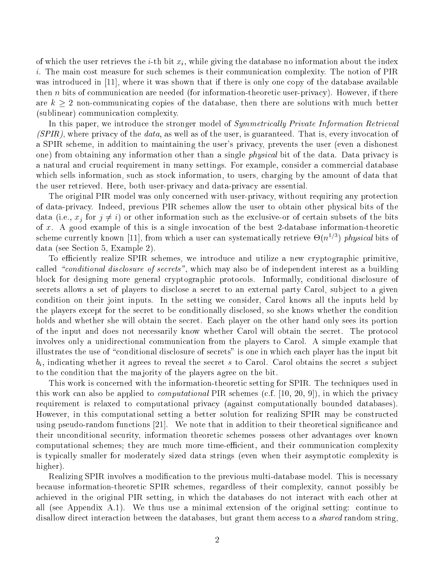of which the user retrieves the *i*-th bit  $x_i$ , while giving the database no information about the index i. The main cost measure for such schemes is their communication complexity. The notion of PIR was introduced in [11], where it was shown that if there is only one copy of the database available then n bits of communication are needed (for information-theoretic user-privacy). However, if there are  $k \geq 2$  non-communicating copies of the database, then there are solutions with much better (sublinear) communication complexity.

In this paper, we introduce the stronger model of Symmetrically Private Information Retrieval  $(SPIR)$ , where privacy of the *data*, as well as of the user, is guaranteed. That is, every invocation of a SPIR scheme, in addition to maintaining the user's privacy, prevents the user (even a dishonest one) from obtaining any information other than a single physical bit of the data. Data privacy is a natural and crucial requirement in many settings. For example, consider a commercial database which sells information, such as stock information, to users, charging by the amount of data that the user retrieved. Here, both user-privacy and data-privacy are essential.

The original PIR model was only concerned with user-privacy, without requiring any protection of data-privacy. Indeed, previous PIR schemes allow the user to obtain other physical bits of the data (i.e.,  $x_i$  for  $j \neq i$ ) or other information such as the exclusive-or of certain subsets of the bits of x. A good example of this is a single invocation of the best 2-database information-theoretic scheme currently known [11], from which a user can systematically retrieve  $\Theta(n^{1/3})$  physical bits of data (see Section 5, Example 2).

To efficiently realize SPIR schemes, we introduce and utilize a new cryptographic primitive. called "conditional disclosure of secrets", which may also be of independent interest as a building block for designing more general cryptographic protocols. Informally, conditional disclosure of secrets allows a set of players to disclose a secret to an external party Carol, subject to a given condition on their joint inputs. In the setting we consider, Carol knows all the inputs held by the players except for the secret to be conditionally disclosed, so she knows whether the condition holds and whether she will obtain the secret. Each player on the other hand only sees its portion of the input and does not necessarily know whether Carol will obtain the secret. The protocol involves only a unidirectional communication from the players to Carol. A simple example that illustrates the use of "conditional disclosure of secrets" is one in which each player has the input bit  $b_i$ , indicating whether it agrees to reveal the secret s to Carol. Carol obtains the secret s subject to the condition that the majority of the players agree on the bit.

This work is concerned with the information-theoretic setting for SPIR. The techniques used in this work can also be applied to computational PIR schemes (c.f. [10, 20, 9]), in which the privacy requirement is relaxed to computational privacy (against computationally bounded databases). However, in this computational setting a better solution for realizing SPIR may be constructed using pseudo-random functions  $|21|$ . We note that in addition to their theoretical significance and their unconditional security, information theoretic schemes possess other advantages over known computational schemes; they are much more time-efficient, and their communication complexity is typically smaller for moderately sized data strings (even when their asymptotic complexity is higher).

Realizing SPIR involves a modification to the previous multi-database model. This is necessary because information-theoretic SPIR schemes, regardless of their complexity, cannot possibly be achieved in the original PIR setting, in which the databases do not interact with each other at all (see Appendix A.1). We thus use a minimal extension of the original setting: continue to disallow direct interaction between the databases, but grant them access to a *shared* random string,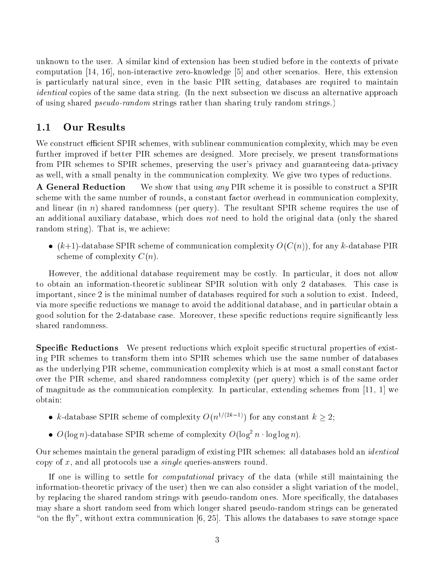unknown to the user. A similar kind of extension has been studied before in the contexts of private computation [14, 16], non-interactive zero-knowledge [5] and other scenarios. Here, this extension is particularly natural since, even in the basic PIR setting, databases are required to maintain identical copies of the same data string. (In the next subsection we discuss an alternative approach of using shared pseudo-random strings rather than sharing truly random strings.)

### 1.1 Our Results

We construct efficient SPIR schemes, with sublinear communication complexity, which may be even further improved if better PIR schemes are designed. More precisely, we present transformations from PIR schemes to SPIR schemes, preserving the user's privacy and guaranteeing data-privacy as well, with a small penalty in the communication complexity. We give two types of reductions.

**A General Reduction** We show that using any PIR scheme it is possible to construct a SPIR scheme with the same number of rounds, a constant factor overhead in communication complexity, and linear (in  $n$ ) shared randomness (per query). The resultant SPIR scheme requires the use of an additional auxiliary database, which does not need to hold the original data (only the shared random string). That is, we achieve:

 $\mathcal{L}^{(k+1)}=\mathcal{L}^{(k)}$  scheme of communication communication complexities  $\mathcal{L}^{(k)}$ , for any  $\mathcal{L}^{(k)}$  and  $\mathcal{L}^{(k)}$ scheme of complexity  $C(n)$ .

However, the additional database requirement may be costly. In particular, it does not allow to obtain an information-theoretic sublinear SPIR solution with only 2 databases. This case is important, since 2 is the minimal number of databases required for such a solution to exist. Indeed, via more specic reductions we manage to avoid the additional database, and in particular obtain a good solution for the 2-database case. Moreover, these specic reductions require signicantly less shared randomness.

**Specific Reductions** We present reductions which exploit specific structural properties of existing PIR schemes to transform them into SPIR schemes which use the same number of databases as the underlying PIR scheme, communication complexity which is at most a small constant factor over the PIR scheme, and shared randomness complexity (per query) which is of the same order of magnitude as the communication complexity. In particular, extending schemes from [11, 1] we obtain:

- k-database SPIR scheme of complexity  $O(n^{1/(2k-1)})$  for any constant  $k \geq 2$ ;
- $\bullet$   $O(\log n)$ -database SPIR scheme of complexity  $O(\log^2 n \cdot \log \log n)$ .

Our schemes maintain the general paradigm of existing PIR schemes: all databases hold an identical copy of x, and all protocols use a single queries-answers round.

If one is willing to settle for computational privacy of the data (while still maintaining the information-theoretic privacy of the user) then we can also consider a slight variation of the model, by replacing the shared random strings with pseudo-random ones. More specically, the databases may share a short random seed from which longer shared pseudo-random strings can be generated "on the fly", without extra communication  $[6, 25]$ . This allows the databases to save storage space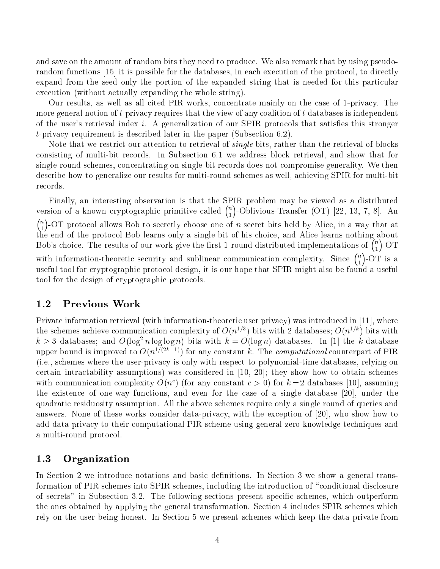and save on the amount of random bits they need to produce. We also remark that by using pseudorandom functions [15] it is possible for the databases, in each execution of the protocol, to directly expand from the seed only the portion of the expanded string that is needed for this particular execution (without actually expanding the whole string).

Our results, as well as all cited PIR works, concentrate mainly on the case of 1-privacy. The more general notion of  $t$ -privacy requires that the view of any coalition of  $t$  databases is independent of the user's retrieval index  $i$ . A generalization of our SPIR protocols that satisfies this stronger t-privacy requirement is described later in the paper (Subsection 6.2).

Note that we restrict our attention to retrieval of *single* bits, rather than the retrieval of blocks consisting of multi-bit records. In Subsection 6.1 we address block retrieval, and show that for single-round schemes, concentrating on single-bit records does not compromise generality. We then describe how to generalize our results for multi-round schemes as well, achieving SPIR for multi-bit records.

Finally, an interesting observation is that the SPIR problem may be viewed as a distributed version of a known cryptographic primitive called  $\binom{n}{k}$  $\sim$ -Oblivious-Transfer (OT) [22, 13, 7, 8]. An  $(n)$  $\overline{\phantom{a}}$ -OT protocol allows Bob to secretly the secretic bits held bits held by Alice, in a way that at way the end of the protocol  $B$  learns only a single bit of his choice, and  $A$ Bob's choice. The results of our work give the first 1-round distributed implementations of  $\binom{n}{k}$  $\sim$ with information-theoretic security and sublinear communication complexity. Since  $\binom{n}{k}$ 1 useful to a form for cryptographic protocol design, it is our hope that SPIR might also be found a useful and tool for the design of cryptographic protocols.

### 1.2 Previous Work

Private information retrieval (with information-theoretic user privacy) was introduced in [11], where the schemes achieve communication complexity of  $O(n^{1/3})$  bits with 2 databases;  $O(n^{1/k})$  bits with  $\kappa \geq 3$  databases; and  $O(\log^2 n \log \log n)$  bits with  $\kappa = O(\log n)$  databases. In [1] the k-database upper bound is improved to  $O(n^{1/(2k-1)})$  for any constant k. The *computational* counterpart of PIR (i.e., schemes where the user-privacy is only with respect to polynomial-time databases, relying on certain intractability assumptions) was considered in [10, 20]; they show how to obtain schemes with communication complexity  $O(n^c)$  (for any constant  $c > 0$ ) for  $k = 2$  databases [10], assuming the existence of one-way functions, and even for the case of a single database [20], under the quadratic residuosity assumption. All the above schemes require only a single round of queries and answers. None of these works consider data-privacy, with the exception of [20], who show how to add data-privacy to their computational PIR scheme using general zero-knowledge techniques and a multi-round protocol.

### 1.3 Organization

In Section 2 we introduce notations and basic definitions. In Section 3 we show a general transformation of PIR schemes into SPIR schemes, including the introduction of "conditional disclosure of secrets" in Subsection 3.2. The following sections present specific schemes, which outperform the ones obtained by applying the general transformation. Section 4 includes SPIR schemes which rely on the user being honest. In Section 5 we present schemes which keep the data private from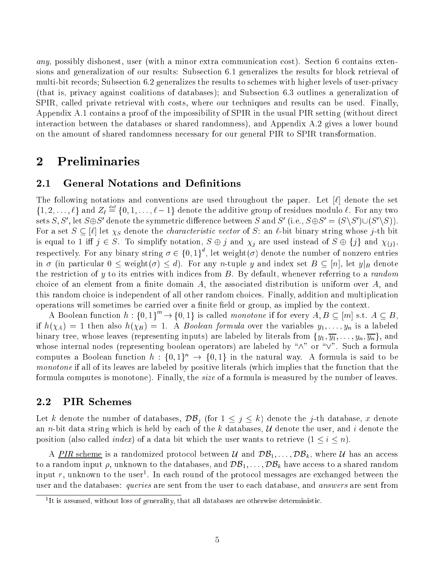any, possibly dishonest, user (with a minor extra communication cost). Section 6 contains extensions and generalization of our results: Subsection 6.1 generalizes the results for block retrieval of multi-bit records; Subsection 6.2 generalizes the results to schemes with higher levels of user-privacy (that is, privacy against coalitions of databases); and Subsection 6.3 outlines a generalization of SPIR, called private retrieval with costs, where our techniques and results can be used. Finally, Appendix A.1 contains a proof of the impossibility of SPIR in the usual PIR setting (without direct interaction between the databases or shared randomness), and Appendix A.2 gives a lower bound on the amount of shared randomness necessary for our general PIR to SPIR transformation.

## 2 Preliminaries

#### 2.1 General Notations and Definitions

The following notations and conventions are used throughout the paper. Let  $[\ell]$  denote the set  $\{1, 2, \ldots, \ell\}$  and  $Z_{\ell} = \{0, 1, \ldots, \ell-1\}$  denote the additive group of residues modulo  $\ell$ . For any two sets  $S, S$  , let  $S \oplus S$  -denote the symmetric difference between  $S$  and  $S$  (i.e.,  $S \oplus S = (S \setminus S \setminus \cup \setminus S \setminus S)$ ). For a set  $S \subseteq [\ell]$  let  $\chi_S$  denote the *characteristic vector* of S: an  $\ell$ -bit binary string whose j-th bit is equal to 1 iff  $j \in S$ . To simplify notation,  $S \oplus j$  and  $\chi_j$  are used instead of  $S \oplus \{j\}$  and  $\chi_{\{j\}}$ , respectively. For any binary string  $\sigma \in \{0,1\}^d$ , let weight( $\sigma$ ) denote the number of nonzero entries in  $\sigma$  (in particular  $0 \leq$  weight $(\sigma) \leq d$ ). For any n-tuple y and index set  $B \subseteq [n]$ , let  $y|_B$  denote the restriction of y to its entries with indices from  $B$ . By default, whenever referring to a random choice of an element from a finite domain  $A$ , the associated distribution is uniform over  $A$ , and this random choice is independent of all other random choices. Finally, addition and multiplication operations will sometimes be carried over a finite field or group, as implied by the context.

A Boolean function  $h: \{0,1\}^m \to \{0,1\}$  is called monotone if for every  $A, B \subseteq [m]$  s.t.  $A \subseteq B$ , if  $h(\chi_A) = 1$  then also  $h(\chi_B) = 1$ . A *Boolean formula* over the variables  $y_1, \ldots, y_n$  is a labeled binary tree, whose leaves (representing inputs) are labeled by literals from  $\{y_1, \overline{y_1}, \ldots, y_n, \overline{y_n}\}$ , and whose internal nodes (representing boolean operators) are labeled by " $\wedge$ " or " $\vee$ ". Such a formula computes a Boolean function  $h : \{0,1\}^n \to \{0,1\}$  in the natural way. A formula is said to be monotone if all of its leaves are labeled by positive literals (which implies that the function that the formula computes is monotone). Finally, the size of a formula is measured by the number of leaves.

#### 2.2 PIR Schemes

Let k denote the number of databases,  $\mathcal{DB}_j$  (for  $1 \leq j \leq k$ ) denote the j-th database, x denote an *n*-bit data string which is held by each of the k databases,  $U$  denote the user, and i denote the position (also called *index*) of a data bit which the user wants to retrieve  $(1 \le i \le n)$ .

A PIR scheme is a randomized protocol between U and  $\mathcal{DB}_1, \ldots, \mathcal{DB}_k$ , where U has an access to a random input  $\rho$ , unknown to the databases, and  $\mathcal{DB}_1, \ldots, \mathcal{DB}_k$  have access to a shared random input  $r$ , unknown to the user . In each round of the protocol messages are exchanged between the  $\,$ user and the databases: queries are sent from the user to each database, and answers are sent from

<sup>1</sup> It is assumed, without loss of generality, that all databases are otherwise deterministic.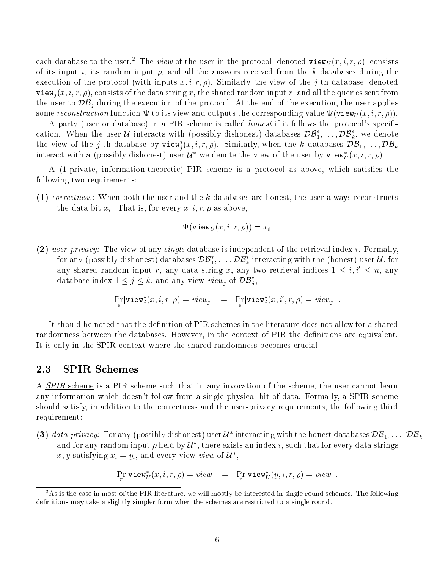each database to the user. The *view* of the user in the protocol, denoted view $U(x, \ell, r, \rho)$ , consists of its input i, its random input  $\rho$ , and all the answers received from the k databases during the execution of the protocol (with inputs  $x, i, r, \rho$ ). Similarly, the view of the j-th database, denoted  $\mathbf{view}_i(x, i, r, \rho)$ , consists of the data string x, the shared random input r, and all the queries sent from the user to  $\mathcal{DB}_i$  during the execution of the protocol. At the end of the execution, the user applies some reconstruction function  $\Psi$  to its view and outputs the corresponding value  $\Psi(\mathtt{view}_U(x, i, r, \rho)).$ 

A party (user or database) in a PIR scheme is called *honest* if it follows the protocol's specification. When the user  $u$  interacts with (possibly dishonest) databases  $\nu\mathcal{B}_1,\ldots,\nu\mathcal{B}_k,$  we denote the view of the j-th database by  $\mathsf{view}_j(x,i,r,\rho)$ . Similarly, when the  $\kappa$  databases  $\mathcal{DD}_1,\ldots,\mathcal{DD}_k$ interact with a (possibly dishonest) user  $u$  we denote the view of the user by  $\mathtt{view}_U(x,i,r,\rho).$ 

A (1-private, information-theoretic) PIR scheme is a protocol as above, which satisfies the following two requirements:

 $(1)$  correctness: When both the user and the k databases are honest, the user always reconstructs the data bit  $x_i$ . That is, for every  $x, i, r, \rho$  as above,

$$
\Psi(\mathsf{view}_U(x,i,r,\rho)) = x_i.
$$

(2) user-privacy: The view of any single database is independent of the retrieval index i. Formally, for any (possibly dishonest) databases  $\nu\mathcal{B}_1,\ldots,\nu\mathcal{B}_k$  interacting with the (honest) user  $u,$  for any shared random input r, any data string x, any two retrieval indices  $1 \leq i,i \leq n,$  any database index  $1 \leq j \leq k,$  and any view  $\textit{view}_j$  of  $\textit{DD}_j,$ 

$$
\Pr_{\rho}[\mathbf{view}_j^*(x,i,r,\rho) = view_j] = \Pr_{\rho}[\mathbf{view}_j^*(x,i',r,\rho) = view_j].
$$

It should be noted that the definition of PIR schemes in the literature does not allow for a shared randomness between the databases. However, in the context of PIR the definitions are equivalent. It is only in the SPIR context where the shared-randomness becomes crucial.

#### 2.3 SPIR Schemes

A SPIR scheme is a PIR scheme such that in any invocation of the scheme, the user cannot learn any information which doesn't follow from a single physical bit of data. Formally, a SPIR scheme should satisfy, in addition to the correctness and the user-privacy requirements, the following third requirement:

(5) data-privacy: For any (possibly dishonest) user  $u$  -interacting with the honest databases  $\nu \nu_1, \ldots, \nu \nu_k,$ and for any random input  $\rho$  neid by  $\cal U$  , there exists an index  $i,$  such that for every data strings x, y satisfying  $x_i = y_i$ , and every view view of  $\boldsymbol{\mathcal{U}}$ ,

$$
\Pr_r[\mathbf{view}^*_U(x, i, r, \rho) = view] = \Pr_r[\mathbf{view}^*_U(y, i, r, \rho) = view] .
$$

<sup>&</sup>lt;sup>2</sup>As is the case in most of the PIR literature, we will mostly be interested in single-round schemes. The following definitions may take a slightly simpler form when the schemes are restricted to a single round.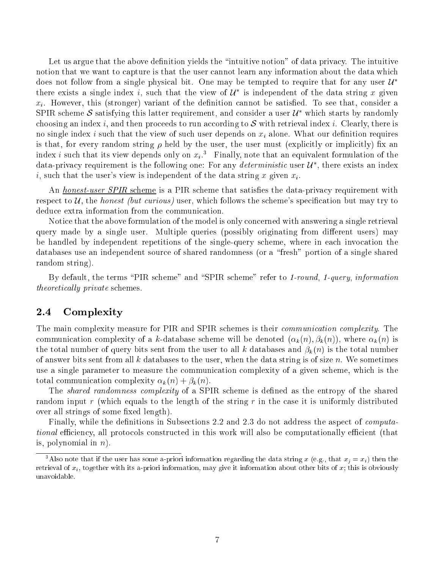Let us argue that the above definition yields the "intuitive notion" of data privacy. The intuitive notion that we want to capture is that the user cannot learn any information about the data which does not follow from a single physical bit. One may be tempted to require that for any user  $\mathcal{U}^*$ there exists a single index  $\imath,$  such that the view of  $\mu$  is independent of the data string  $x$  given  $x_i$ . However, this (stronger) variant of the definition cannot be satisfied. To see that, consider a SPTR scheme  $\delta$  satisfying this latter requirement, and consider a user  $\mathcal U$  which starts by randomly choosing an index i, and then proceeds to run according to S with retrieval index i. Clearly, there is no single index i such that the view of such user depends on  $x_i$  alone. What our definition requires is that, for every random string  $\rho$  held by the user, the user must (explicitly or implicitly) fix an index  $i$  such that its view depends only on  $x_i.^\top$  - Finally, note that an equivalent formulation of the data-privacy requirement is the following one: For any *deterministic* user  $u$  , there exists an index i, such that the user's view is independent of the data string x given  $x_i$ .

An *honest-user SPIR* scheme is a PIR scheme that satisfies the data-privacy requirement with respect to  $U$ , the *honest (but curious)* user, which follows the scheme's specification but may try to deduce extra information from the communication.

Notice that the above formulation of the model is only concerned with answering a single retrieval query made by a single user. Multiple queries (possibly originating from different users) may be handled by independent repetitions of the single-query scheme, where in each invocation the databases use an independent source of shared randomness (or a "fresh" portion of a single shared random string).

By default, the terms "PIR scheme" and "SPIR scheme" refer to 1-round, 1-query, information theoretically private schemes.

#### 2.4 Complexity

The main complexity measure for PIR and SPIR schemes is their communication complexity. The communication complexity of a k-database scheme will be denoted  $(\alpha_k(n), \beta_k(n))$ , where  $\alpha_k(n)$  is the total number of query bits sent from the user to all k databases and  $\beta_k(n)$  is the total number of answer bits sent from all k databases to the user, when the data string is of size  $n$ . We sometimes use a single parameter to measure the communication complexity of a given scheme, which is the total communication complexity  $\alpha_k(n) + \beta_k(n)$ .

The *shared randomness complexity* of a SPIR scheme is defined as the entropy of the shared random input r (which equals to the length of the string r in the case it is uniformly distributed over all strings of some fixed length).

Finally, while the definitions in Subsections 2.2 and 2.3 do not address the aspect of *computa*tional efficiency, all protocols constructed in this work will also be computationally efficient (that is, polynomial in  $n$ ).

<sup>&</sup>lt;sup>3</sup>Also note that if the user has some a-priori information regarding the data string x (e.g., that  $x_j = x_i$ ) then the retrieval of  $x_i$ , together with its a-priori information, may give it information about other bits of  $x_i$ ; this is obviously unavoidable.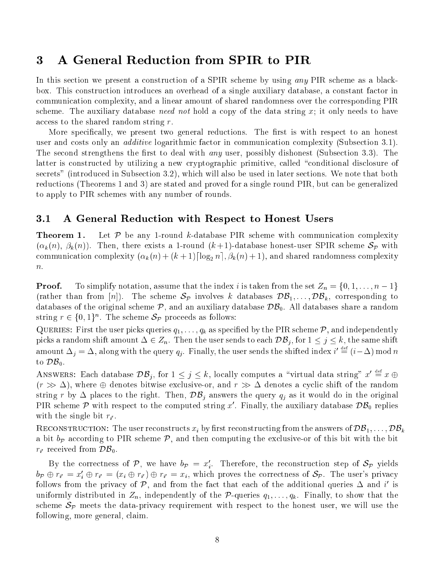#### 3 A General Reduction from SPIR to PIR  $\bf{3}$

In this section we present a construction of a SPIR scheme by using any PIR scheme as a blackbox. This construction introduces an overhead of a single auxiliary database, a constant factor in communication complexity, and a linear amount of shared randomness over the corresponding PIR scheme. The auxiliary database need not hold a copy of the data string x; it only needs to have access to the shared random string r.

More specifically, we present two general reductions. The first is with respect to an honest user and costs only an additive logarithmic factor in communication complexity (Subsection 3.1). The second strengthens the first to deal with *any* user, possibly dishonest (Subsection 3.3). The latter is constructed by utilizing a new cryptographic primitive, called "conditional disclosure of secrets" (introduced in Subsection 3.2), which will also be used in later sections. We note that both reductions (Theorems 1 and 3) are stated and proved for a single round PIR, but can be generalized to apply to PIR schemes with any number of rounds.

### 3.1 A General Reduction with Respect to Honest Users

**Theorem 1.** Let  $\mathcal{P}$  be any 1-round k-database PIR scheme with communication complexity  $(\alpha_k(n), \beta_k(n))$ . Then, there exists a 1-round  $(k+1)$ -database honest-user SPIR scheme  $S_{\mathcal{P}}$  with communication complexity  $(\alpha_k(n) + (\kappa+1) \log_2 n_1, \rho_k(n) + 1),$  and shared randomness complexity  $n$ .

**Proof.** To simplify notation, assume that the index i is taken from the set  $Z_n = \{0, 1, \ldots, n-1\}$ (rather than from [n]). The scheme  $\mathcal{O}_{\mathcal{P}}$  involves k databases  $\mathcal{D}\mathcal{D}_1,\ldots,\mathcal{D}\mathcal{D}_k$ , corresponding to databases of the original scheme  $P$ , and an auxiliary database  $\mathcal{DB}_0$ . All databases share a random string  $r \in \{0,1\}^n$ . The scheme  $\mathcal{S}_{\mathcal{P}}$  proceeds as follows:

QUERIES: First the user picks queries  $q_1, \ldots, q_k$  as specified by the PIR scheme  $P$ , and independently picks a random shift amount  $\Delta \in Z_n$ . Then the user sends to each  $\mathcal{DB}_j$ , for  $1 \leq j \leq k$ , the same shift amount  $\Delta_j = \Delta,$  along with the query  $q_j$ . Finally, the user sends the shifted index  $i'\equiv (\imath\!-\!\Delta)$  mod  $n$ to  $\mathcal{DB}_0$ .

Answers: Each database  $\mathcal{DB}_j,$  for  $1\leq j\leq k,$  locally computes a "virtual data string"  $x'\stackrel{\scriptscriptstyle\rm def}{=} x\oplus k$  $(r \gg \Delta)$ , where  $\oplus$  denotes bitwise exclusive-or, and  $r \gg \Delta$  denotes a cyclic shift of the random string r by  $\Delta$  places to the right. Then,  $\mathcal{DB}_i$  answers the query  $q_i$  as it would do in the original PIR scheme  $P$  with respect to the computed string  $x$  . Finally, the auxiliary database  $\nu\mathcal{D}_0$  replies with the single bit  $r_{i'}$ .

RECONSTRUCTION: The user reconstructs  $x_i$  by first reconstructing from the answers of  $\mathcal{DB}_1, \ldots, \mathcal{DB}_k$ a bit p according to PIR scheme P, and the exchange the computing the computing the bit with the bit with the  $\tau_{i^\prime}$  received from  $\nu\omega_0.$ 

By the correctness of P, we have  $v_{\mathcal{P}} = x_i$ . Therefore, the reconstruction step of  $\mathcal{S}_{\mathcal{P}}$  yields  $b_{\cal P} \oplus r_{i'} = x_i' \oplus r_{i'} = (x_i \oplus r_{i'}) \oplus r_{i'} = x_i$ , which proves the correctness of  $S_{\cal P}$ . The user's privacy follows from the privacy of  $P$ , and from the fact that each of the additional queries  $\Delta$  and  $i$  is uniformly distributed in  $Z_n$ , independently of the P-queries  $q_1, \ldots, q_k$ . Finally, to show that the scheme SP meets the data-privacy requirement with respect to the first to the honest with the will use the ho following, more general, claim.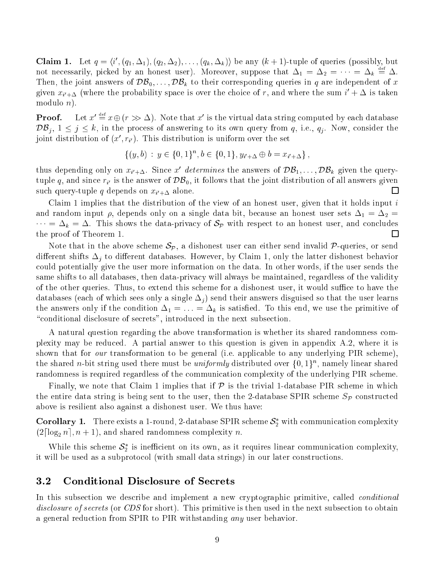Claim 1. Let  $q = (i, (q_1, \Delta_1), (q_2, \Delta_2), \ldots, (q_k, \Delta_k))$  be any  $(\kappa + 1)$ -tuple of queries (possibly, but not necessarily, picked by an honest user). Moreover, suppose that  $\Delta_1 = \Delta_2 = \cdots = \Delta_k \equiv \Delta.$ Then, the joint answers of  $\mathcal{DB}_0, \ldots, \mathcal{DB}_k$  to their corresponding queries in q are independent of x given  $x_{i' + \Delta}$  (where the probability space is over the choice of r, and where the sum  $i ~ + \Delta$  is taken modulo  $n$ ).

**Proof.** Let  $x' = x \oplus (r \gg \Delta)$ . Note that x' is the virtual data string computed by each database  $\mathcal{DB}_i$ ,  $1 \leq j \leq k$ , in the process of answering to its own query from q, i.e.,  $q_i$ . Now, consider the joint distribution of  $(x\,,r_{i'})$ . This distribution is uniform over the set

$$
\{(y,b) : y \in \{0,1\}^n, b \in \{0,1\}, y_{i'+\Delta} \oplus b = x_{i'+\Delta}\},\
$$

thus depending only on  $x_{i'+\Delta}$ . Since x actermines the answers of  $\nu_{\mathcal{D}_1}, \ldots, \nu_{\mathcal{D}_k}$  given the querytuple q, and since  $r_{i'}$  is the answer of  $\nu\omega_0$ , it follows that the joint distribution of all answers given  $\Box$ such query-tuple q depends on  $x_{i'+\Delta}$  alone.

Claim 1 implies that the distribution of the view of an honest user, given that it holds input  $i$ and random input  $\mu$  , depends only on a single data bit, because an interest user sets  $\cdots = \Delta_k = \Delta$ . This shows the data-privacy of  $\sigma_p$  with respect to an honest user, and concludes the proof of Theorem 1.  $\Box$ 

Note that in the above scheme SP , <sup>a</sup> dishonest user can either send invalid P-queries, or send different shifts  $\Delta_j$  to different databases. However, by Claim 1, only the latter dishonest behavior could potentially give the user more information on the data. In other words, if the user sends the same shifts to all databases, then data-privacy will always be maintained, regardless of the validity of the other queries. Thus, to extend this scheme for a dishonest user, it would suffice to have the databases (each of which sees only a single  $\Delta_i$ ) send their answers disguised so that the user learns the answers only if the condition  $\Delta_1 = \ldots = \Delta_k$  is satisfied. To this end, we use the primitive of "conditional disclosure of secrets", introduced in the next subsection.

A natural question regarding the above transformation is whether its shared randomness complexity may be reduced. A partial answer to this question is given in appendix A.2, where it is shown that for *our* transformation to be general (i.e. applicable to any underlying PIR scheme), the shared *n*-bit string used there must be *uniformly* distributed over  $\{0,1\}^n$ , namely linear shared randomness is required regardless of the communication complexity of the underlying PIR scheme.

Finally, we note that Claim 1 implies that if  $P$  is the trivial 1-database PIR scheme in which the entire data string is being sent to the user, then the 2-database SPIR scheme SP constructed above is resilient also against a dishonest user. We thus have:

**Coronary 1.** There exists a 1-round, 2-database SPTR scheme  $\mathcal{O}_2$  with communication complexity  $\mathcal{L} = \{ \mathcal{L} = \{ \mathcal{L} \} \mid \mathcal{L} = \{ \mathcal{L} \}$ , and shared randomness complexity n.e.

while this scheme  $S_2$  is inefficient on its own, as it requires linear communication complexity, it will be used as a subprotocol (with small data strings) in our later constructions.

#### 3.2 Conditional Disclosure of Secrets

In this subsection we describe and implement a new cryptographic primitive, called *conditional* disclosure of secrets (or CDS for short). This primitive is then used in the next subsection to obtain a general reduction from SPIR to PIR withstanding *any* user behavior.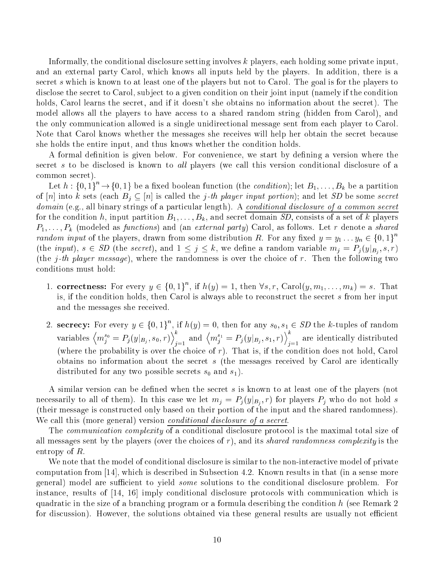Informally, the conditional disclosure setting involves  $k$  players, each holding some private input, and an external party Carol, which knows all inputs held by the players. In addition, there is a secret s which is known to at least one of the players but not to Carol. The goal is for the players to disclose the secret to Carol, subject to a given condition on their joint input (namely if the condition holds, Carol learns the secret, and if it doesn't she obtains no information about the secret). The model allows all the players to have access to a shared random string (hidden from Carol), and the only communication allowed is a single unidirectional message sent from each player to Carol. Note that Carol knows whether the messages she receives will help her obtain the secret because she holds the entire input, and thus knows whether the condition holds.

A formal definition is given below. For convenience, we start by defining a version where the secret s to be disclosed is known to all players (we call this version conditional disclosure of a common secret).

Let  $h: \{0,1\}^n \rightarrow \{0,1\}$  be a fixed boolean function (the *condition*); let  $B_1, \ldots, B_k$  be a partition of [n] into k sets (each  $B_i \subseteq [n]$  is called the j-th player input portion); and let SD be some secret domain (e.g., all binary strings of a particular length). A *conditional disclosure of a common secret* for the condition h, input partition  $B_1, \ldots, B_k$ , and secret domain SD, consists of a set of k players  $P_1, \ldots, P_k$  (modeled as functions) and (an external party) Carol, as follows. Let r denote a shared random input of the players, drawn from some distribution R. For any fixed  $y = y_1 \ldots y_n \in \{0,1\}^n$ (the *input)*,  $s \in \mathcal{S}D$  (the secret), and  $1 \leq j \leq k$ , we define a random variable  $m_j = F_j(y|B_j, s, r)$ (the j-th player message), where the randomness is over the choice of r. Then the following two conditions must hold:

- 1. correctness: For every  $y \in \{0,1\}^n$ , if  $h(y) = 1$ , then  $\forall s, r$ , Carol $(y, m_1, \ldots, m_k) = s$ . That is, if the condition holds, then Carol is always able to reconstruct the secret s from her input and the messages she received.
- 2. **secrecy:** For every  $y \in \{0,1\}^n$ , if  $h(y) = 0$ , then for any  $s_0, s_1 \in SD$  the k-tuples of random variables  $\langle m_j^{s_0} = P_j(y|_{B_j}, s_0, r) \rangle_{i=1}^k$  and  $\langle m_j^{s_1} = P_j(y|_{B_j}, s_1, r) \rangle_{i=1}^k$  are identically distributed  $k$  $j=1$ and  $\left\langle m_j^{s_1} = P_j(y|_{B_j}, s_1, r) \right\rangle$  $\sqrt{k}$  $j=1$ (where the probability is over the choice of r). That is, if the condition does not hold, Carol obtains no information about the secret s (the messages received by Carol are identically distributed for any two possible secrets s0 and s1).

A similar version can be defined when the secret s is known to at least one of the players (not necessarily to all of them). In this case we let  $m_j = P_j(y|B_j, r)$  for players  $P_j$  who do not hold s (their message is constructed only based on their portion of the input and the shared randomness). We call this (more general) version *conditional disclosure of a secret*.

The *communication complexity* of a conditional disclosure protocol is the maximal total size of all messages sent by the players (over the choices of  $r$ ), and its shared randomness complexity is the entropy of R.

We note that the model of conditional disclosure is similar to the non-interactive model of private computation from [14], which is described in Subsection 4.2. Known results in that (in a sense more general) model are sufficient to yield *some* solutions to the conditional disclosure problem. For instance, results of [14, 16] imply conditional disclosure protocols with communication which is quadratic in the size of a branching program or a formula describing the condition  $h$  (see Remark 2) for discussion). However, the solutions obtained via these general results are usually not efficient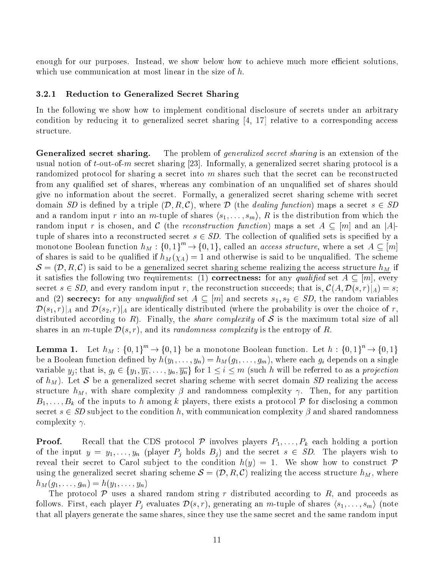enough for our purposes. Instead, we show below how to achieve much more efficient solutions, which use communication at most linear in the size of h.

#### 3.2.1 Reduction to Generalized Secret Sharing

In the following we show how to implement conditional disclosure of secrets under an arbitrary condition by reducing it to generalized secret sharing [4, 17] relative to a corresponding access structure.

Generalized secret sharing. The problem of *generalized secret sharing* is an extension of the usual notion of t-out-of-m secret sharing [23]. Informally, a generalized secret sharing protocol is a randomized protocol for sharing a secret into m shares such that the secret can be reconstructed from any qualified set of shares, whereas any combination of an unqualified set of shares should give no information about the secret. Formally, a generalized secret sharing scheme with secret domain SD is defined by a triple  $(D, R, C)$ , where D (the *dealing function*) maps a secret  $s \in SD$ and a random input r into an m-tuple of shares  $\langle s_1, \ldots, s_m \rangle$ , R is the distribution from which the random input r is chosen, and C (the reconstruction function) maps a set  $A \subseteq [m]$  and an  $|A|$ tuple of shares into a reconstructed secret  $s \in SD$ . The collection of qualified sets is specified by a monotone Boolean function  $h_M: \{0,1\}^m \to \{0,1\}$ , called an *access structure*, where a set  $A \subseteq [m]$ of shares is said to be qualified if  $h_M(\chi_A) = 1$  and otherwise is said to be unqualified. The scheme  $\mathcal{S} \equiv (\nu, n, c)$  is said to be a generalized secret sharing scheme realizing the access structure  $n_M$  if it satisfies the following two requirements: (1) **correctness:** for any *qualified* set  $A \subseteq [m]$ , every secret  $s \in SD$ , and every random input r, the reconstruction succeeds; that is,  $\mathcal{C}(A, \mathcal{D}(s, r)|_A) = s$ ; and the secrets secrets set  $\mathcal{A}$  and set  $\mathcal{A}$  and secrets since  $\mathcal{A}$  and secrets since  $\mathcal{A}$  $\mathcal{D}(s_1,r)|_A$  and  $\mathcal{D}(s_2,r)|_A$  are identically distributed (where the probability is over the choice of r, distributed according to R). Finally, the *share complexity* of S is the maximum total size of all shares in an m-tuple  $\mathcal{D}(s,r)$ , and its *randomness complexity* is the entropy of R.

**Lemma 1.** Let  $h_M: \{0,1\}^m \to \{0,1\}$  be a monotone Boolean function. Let  $h: \{0,1\}^n \to \{0,1\}$ be a Boolean function defined by  $h(y_1, \ldots, y_n) = h_M(g_1, \ldots, g_m)$ , where each  $g_i$  depends on a single variable  $y_j$ ; that is,  $g_i \in \{y_1, \overline{y_1}, \ldots, y_n, \overline{y_n}\}$  for  $1 \leq i \leq m$  (such h will be referred to as a projection of  $h_M$ ). Let S be a generalized secret sharing scheme with secret domain SD realizing the access structure  $h_M$ , with share complexity  $\beta$  and randomness complexity  $\gamma$ . Then, for any partition  $B_1, \ldots, B_k$  of the inputs to h among k players, there exists a protocol  $P$  for disclosing a common secret  $s \in SD$  subject to the condition h, with communication complexity  $\beta$  and shared randomness complexity  $\gamma$ .

**Proof.** Recall that the CDS protocol  $P$  involves players  $P_1, \ldots, P_k$  each holding a portion of the input  $y = y_1, \ldots, y_n$  (player  $P_j$  holds  $B_j$ ) and the secret  $s \in SD$ . The players wish to reveal their secret to Carol subject to the condition  $h(y) = 1$ . We show how to construct P using the generalized secret sharing scheme  $S = (\mathcal{D}, R, \mathcal{C})$  realizing the access structure  $h_M$ , where  $h_M(g_1, \ldots, g_m) = h(y_1, \ldots, y_n)$ 

The protocol  $P$  uses a shared random string r distributed according to R, and proceeds as follows. First, each player  $P_j$  evaluates  $\mathcal{D}(s, r)$ , generating an m-tuple of shares  $\langle s_1, \ldots, s_m \rangle$  (note that all players generate the same shares, since they use the same secret and the same random input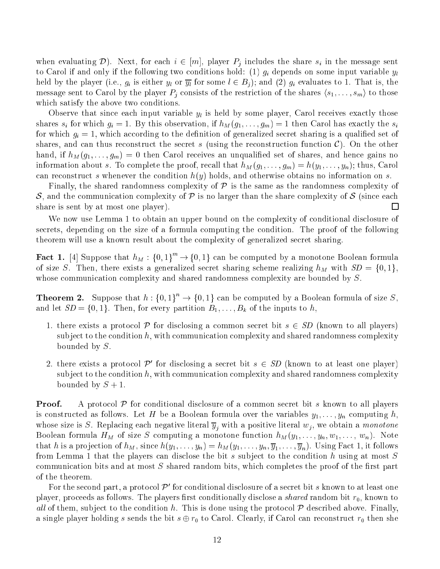when evaluating D). Next, for each  $i \in [m]$ , player  $P_j$  includes the share  $s_i$  in the message sent to Carol if and only if the following two conditions hold: (1)  $g_i$  depends on some input variable  $y_l$ held by the player (i.e.,  $g_i$  is either  $y_l$  or  $\overline{y_l}$  for some  $l \in B_j$ ); and (2)  $g_i$  evaluates to 1. That is, the message sent to Carol by the player  $P_j$  consists of the restriction of the shares  $\langle s_1, \ldots, s_m \rangle$  to those which satisfy the above two conditions.

Observe that since each input variable  $y_l$  is held by some player, Carol receives exactly those shares  $s_i$  for which  $g_i = 1$ . By this observation, if  $h_M(g_1, \ldots, g_m) = 1$  then Carol has exactly the  $s_i$ for which  $g_i = 1$ , which according to the definition of generalized secret sharing is a qualified set of shares, and can thus reconstruct the secret s (using the reconstruction function  $\mathcal{C}$ ). On the other hand, if  $h_M(g_1, \ldots, g_m) = 0$  then Carol receives an unqualified set of shares, and hence gains no information about s. To complete the proof, recall that  $h_M(g_1, \ldots, g_m) = h(y_1, \ldots, y_n)$ ; thus, Carol can reconstruct s whenever the condition  $h(y)$  holds, and otherwise obtains no information on s.

Finally, the shared randomness complexity of  $P$  is the same as the randomness complexity of S, and the communication complexity of  $P$  is no larger than the share complexity of S (since each share is sent by at most one player).  $\mathbf{L}$ 

We now use Lemma 1 to obtain an upper bound on the complexity of conditional disclosure of secrets, depending on the size of a formula computing the condition. The proof of the following theorem will use a known result about the complexity of generalized secret sharing.

**Fact 1.** [4] Suppose that  $h_M: \{0,1\}^m \to \{0,1\}$  can be computed by a monotone Boolean formula of size S. Then, there exists a generalized secret sharing scheme realizing  $h_M$  with  $SD = \{0, 1\}$ , whose communication complexity and shared randomness complexity are bounded by  $S$ .

**Theorem 2.** Suppose that  $h: \{0,1\}^n \to \{0,1\}$  can be computed by a Boolean formula of size S, and let  $SD = \{0, 1\}$ . Then, for every partition  $B_1, \ldots, B_k$  of the inputs to h,

- 1. there exists a protocol  $P$  for disclosing a common secret bit  $s \in SD$  (known to all players) subject to the condition  $h$ , with communication complexity and shared randomness complexity bounded by S.
- 2. there exists a protocol  $P$  for disclosing a secret bit  $s \in \beta D$  (known to at least one player) subject to the condition  $h$ , with communication complexity and shared randomness complexity bounded by  $S + 1$ .

Proof. A protocol  $P$  for conditional disclosure of a common secret bit s known to all players is constructed as follows. Let H be a Boolean formula over the variables  $y_1, \ldots, y_n$  computing h, whose size is S. Replacing each negative literal  $\overline{y}_i$  with a positive literal  $w_j$ , we obtain a monotone Boolean formula  $H_M$  of size S computing a monotone function  $h_M(y_1, \ldots, y_n, w_1, \ldots, w_n)$ . Note that h is a projection of  $h_M$ , since  $h(y_1, \ldots, y_n) = h_M(y_1, \ldots, y_n, \overline{y}_1, \ldots, \overline{y}_n)$ . Using Fact 1, it follows from Lemma 1 that the players can disclose the bit s subject to the condition h using at most  $S$ communication bits and at most  $S$  shared random bits, which completes the proof of the first part of the theorem.

For the second part, a protocol  $P_\perp$  for conditional disclosure of a secret bit  $s$  known to at least one player, proceeds as follows. The players first conditionally disclose a *shared* random bit  $r_0$ , known to all of them, subject to the condition h. This is done using the protocol  $P$  described above. Finally, a single player holding s sends the bit s  $\vee$  to Carol. Clearly, if Caroline can reconstruct to the she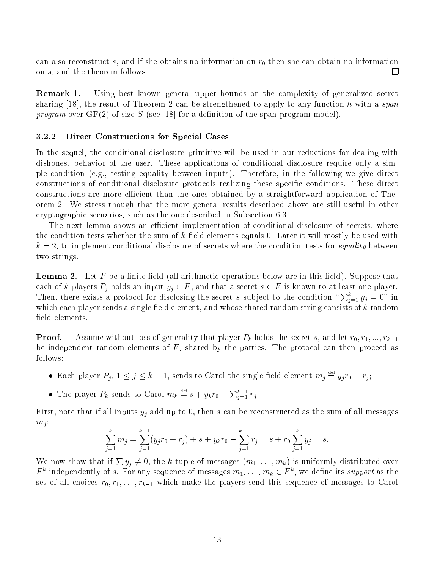$\mathbf u$ on s, and the theorem follows.  $\Box$ 

**Remark 1.** Using best known general upper bounds on the complexity of generalized secret sharing [18], the result of Theorem 2 can be strengthened to apply to any function h with a span *program* over  $GF(2)$  of size S (see [18] for a definition of the span program model).

#### 3.2.2 Direct Constructions for Special Cases

In the sequel, the conditional disclosure primitive will be used in our reductions for dealing with dishonest behavior of the user. These applications of conditional disclosure require only a simple condition (e.g., testing equality between inputs). Therefore, in the following we give direct constructions of conditional disclosure protocols realizing these specic conditions. These direct constructions are more efficient than the ones obtained by a straightforward application of Theorem 2. We stress though that the more general results described above are still useful in other cryptographic scenarios, such as the one described in Subsection 6.3.

The next lemma shows an efficient implementation of conditional disclosure of secrets, where the condition tests whether the sum of  $k$  field elements equals 0. Later it will mostly be used with  $k = 2$ , to implement conditional disclosure of secrets where the condition tests for *equality* between two strings.

**Lemma 2.** Let F be a finite field (all arithmetic operations below are in this field). Suppose that each of k players  $P_i$  holds an input  $y_i \in F$ , and that a secret  $s \in F$  is known to at least one player. Then, there exists a protocol for disclosing the secret s subject to the condition " $\sum_{j=1}^{k} y_j = 0$ " in which each player sends a single field element, and whose shared random string consists of  $k$  random field elements.

**Proof.** Assume without loss of generality that player  $P_k$  holds the secret s, and let  $r_0, r_1, ..., r_{k-1}$ be independent random elements of  $F$ , shared by the parties. The protocol can then proceed as follows:

- $\bullet$  Each player  $P_j,~1\leq j\leq k-1,$  sends to Carol the single field element  $m_j\equiv y_jr_0+r_j;$
- The player  $P_k$  sends to Carol  $m_k \stackrel{\text{def}}{=} s + y_k r_0 \sum_{j=1}^{k-1} r_j$ .

First, note that if all inputs  $y_j$  add up to 0, then s can be reconstructed as the sum of all messages  $m_j$ :

$$
\sum_{j=1}^{k} m_j = \sum_{j=1}^{k-1} (y_j r_0 + r_j) + s + y_k r_0 - \sum_{j=1}^{k-1} r_j = s + r_0 \sum_{j=1}^{k} y_j = s.
$$

We now show that if  $\sum y_j \neq 0$ , the k-tuple of messages  $(m_1, \ldots, m_k)$  is uniformly distributed over  $F^k$  independently of s. For any sequence of messages  $m_1, \ldots, m_k \in F^k$ , we define its support as the set of all choices  $r_0, r_1, \ldots, r_{k-1}$  which make the players send this sequence of messages to Carol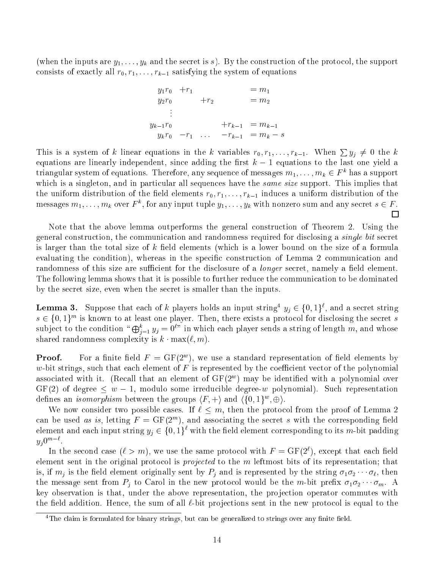(when the inputs are  $y_1,\ldots,y_k$  and the secret is  $s$ ). By the construction of the protocol, the support consists of exactly all  $r_0, r_1, \ldots, r_{k-1}$  satisfying the system of equations

$$
y_1r_0 + r_1 = m_1
$$
  
\n
$$
y_2r_0 + r_2 = m_2
$$
  
\n
$$
\vdots + r_{k-1} = m_{k-1}
$$
  
\n
$$
y_{k-1}r_0 + r_{k-1} = m_{k-1}
$$
  
\n
$$
y_kr_0 - r_1 \dots - r_{k-1} = m_k - s
$$

This is a system of k linear equations in the k variables  $r_0, r_1, \ldots, r_{k-1}$ . When  $\sum y_j \neq 0$  the k equations are linearly independent, since adding the first  $k-1$  equations to the last one yield a triangular system of equations. Therefore, any sequence of messages  $m_1, \ldots, m_k \in F^k$  has a support which is a singleton, and in particular all sequences have the *same size* support. This implies that the uniform distribution of the field elements  $r_0, r_1, \ldots, r_{k-1}$  induces a uniform distribution of the messages  $m_1,\ldots,m_k$  over  $F^k$ , for any input tuple  $y_1,\ldots,y_k$  with nonzero sum and any secret  $s\in F.$  $\Box$ 

Note that the above lemma outperforms the general construction of Theorem 2. Using the general construction, the communication and randomness required for disclosing a single bit secret is larger than the total size of  $k$  field elements (which is a lower bound on the size of a formula evaluating the condition), whereas in the specific construction of Lemma 2 communication and randomness of this size are sufficient for the disclosure of a *longer* secret, namely a field element. The following lemma shows that it is possible to further reduce the communication to be dominated by the secret size, even when the secret is smaller than the inputs.

**Lemma 3.** Suppose that each of k players holds an input string<sup>4</sup>  $y_j \in \{0,1\}^{\ell}$ , and a secret string  $s \in \{0,1\}^m$  is known to at least one player. Then, there exists a protocol for disclosing the secret s subject to the condition "  $\bigoplus_{j=1}^k y_j = 0^{\ell}$ " in which each player sends a string of length  $m,$  and whose shared randomness complexity is  $k \cdot \max(\ell, m)$ .

**Proof.** For a finite field  $F = \text{GF}(2^w)$ , we use a standard representation of field elements by w-bit strings, such that each element of  $F$  is represented by the coefficient vector of the polynomial associated with it. (Recall that an element of  $GF(2^w)$  may be identified with a polynomial over  $GF(2)$  of degree  $\leq w-1$ , modulo some irreducible degree-w polynomial). Such representation defines an *isomorphism* between the groups  $\langle F, + \rangle$  and  $\langle \{0, 1\}^w, \oplus \rangle$ .

We now consider two possible cases. If  $\ell \leq m$ , then the protocol from the proof of Lemma 2 can be used as is, letting  $F = \text{GF}(2^m)$ , and associating the secret s with the corresponding field element and each input string  $y_j \in \{0,1\}^\ell$  with the field element corresponding to its  $m$ -bit padding  $y_j 0^{m-\ell}$ .

In the second case  $(\ell > m)$ , we use the same protocol with  $F = \text{GF}(2^{\ell})$ , except that each field element sent in the original protocol is *projected* to the  $m$  leftmost bits of its representation; that is, if  $m_j$  is the field element originally sent by  $P_j$  and is represented by the string  $\sigma_1 \sigma_2 \cdots \sigma_\ell$ , then the message sent from  $P_j$  to Carol in the new protocol would be the m-bit prefix  $\sigma_1 \sigma_2 \cdots \sigma_m$ . A key observation is that, under the above representation, the projection operator commutes with the field addition. Hence, the sum of all  $\ell$ -bit projections sent in the new protocol is equal to the

<sup>&</sup>lt;sup>4</sup>The claim is formulated for binary strings, but can be generalized to strings over any finite field.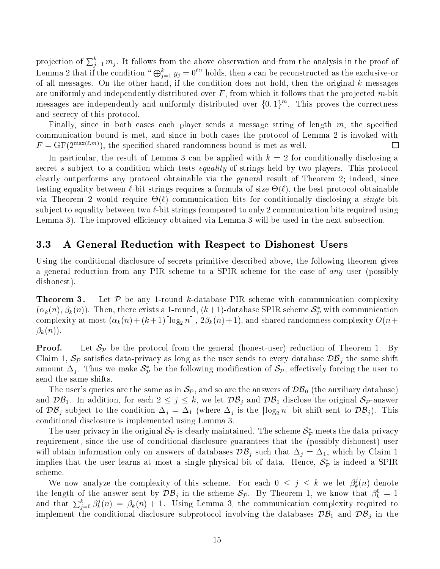projection of  $\sum_{j=1}^k m_j$ . It follows from the above observation and from the analysis in the proof of Lemma 2 that if the condition "  $\bigoplus_{j=1}^k y_j = 0^{\ell}$  holds, then s can be reconstructed as the exclusive-or of all messages. On the other hand, if the condition does not hold, then the original  $k$  messages are uniformly and independently distributed over  $F$ , from which it follows that the projected m-bit messages are independently and uniformly distributed over  $\{0,1\}^m$ . This proves the correctness and secrecy of this protocol.

Finally, since in both cases each player sends a message string of length  $m$ , the specified communication bound is met, and since in both cases the protocol of Lemma 2 is invoked with  $F = \text{GF}(2^{\max(\ell,m)})$ , the specified shared randomness bound is met as well.  $\Box$ 

In particular, the result of Lemma 3 can be applied with  $k = 2$  for conditionally disclosing a secret s subject to a condition which tests *equality* of strings held by two players. This protocol clearly outperforms any protocol obtainable via the general result of Theorem 2; indeed, since testing equality between `-bit strings requires a formula of size -(`), the best protocol obtainable  $v' = v'$  would require - (i) communication bits for condition bits for condition bits for condition bits for condition bits for condition bits for condition bits for condition bits for condition bits for condition bits for subject to equality between two  $\ell$ -bit strings (compared to only 2 communication bits required using Lemma 3). The improved efficiency obtained via Lemma 3 will be used in the next subsection.

#### 3.3 A General Reduction with Respect to Dishonest Users

Using the conditional disclosure of secrets primitive described above, the following theorem gives a general reduction from any PIR scheme to a SPIR scheme for the case of any user (possibly dishonest).

**Theorem 3.** Let  $P$  be any 1-round k-database PIR scheme with communication complexity  $(\alpha_k(n),\, \beta_k(n))$ . Then, there exists a 1-round,  $(\kappa+1)$ -database SPIR scheme  $\mathcal{S}_{\mathcal{P}}$  with communication complexity at most  $(\alpha_k(n) + (\kappa + 1) \log_2 n)$  ,  $2 \rho_k(n) + 1$ ), and shared randomness complexity  $O(n + 1)$  $\beta_k(n)$ ).

Proof. Let SP be the protocol from the general (honest-user) reduction of Theorem 1. By Claim 1,  $\mathcal{O}p$  satisfies data-privacy as long as the user sends to every database  $\mathcal{D}\mathcal{D}_j$  the same shift amount  $\Delta_j$ . Thus we make  $\delta_{\cal P}$  be the following modification of  $\delta_{\cal P}$ , enectively forcing the user to send the same shifts.

The user's queries are the same as in  $S_p$ , and so are the answers of  $\mathcal{DB}_0$  (the auxiliary database) and  $\mathcal{DB}_1$ . In addition, for each  $2 \leq j \leq k$ , we let  $\mathcal{DB}_j$  and  $\mathcal{DB}_1$  disclose the original  $\mathcal{S}_{\mathcal{P}}$ -answer of  $\mathcal{DB}_j$  subject to the condition  $\Delta_j = \Delta_1$  (where  $\Delta_j$  is the  $\lceil \log_2 n \rceil$ -bit shift sent to  $\mathcal{DB}_j$ ). This conditional disclosure is implemented using Lemma 3.

The user-privacy in the original  $\mathcal{S}_{\mathcal{P}}$  is clearly maintained. The scheme  $\mathcal{S}_{\mathcal{P}}$  meets the data-privacy requirement, since the use of conditional disclosure guarantees that the (possibly dishonest) user will obtain information only on answers of databases  $\mathcal{DB}_j$  such that  $\Delta_j = \Delta_1$ , which by Claim 1 implies that the user learns at most a single physical bit of data. Hence,  $\sigma_{\!\mathcal{P}}$  is indeed a SPIR scheme.

We now analyze the complexity of this scheme. For each  $0 \leq j \leq k$  we let  $\beta_k^j(n)$  denote the length of the answer sent by  $D\mathcal{D}_j$  in the scheme  $\mathcal{D}_\mathcal{P}$ . By Theorem 1, we know that  $\rho_k^+=1$ and that  $\sum_{j=0}^k \beta_j$  $\beta_k(n) = \beta_k(n) + 1$ . Using Lemma 3, the communication complexity required to implement the conditional disclosure subprotocol involving the databases  $\nu_{D_1}$  and  $\nu_{D_j}$  in the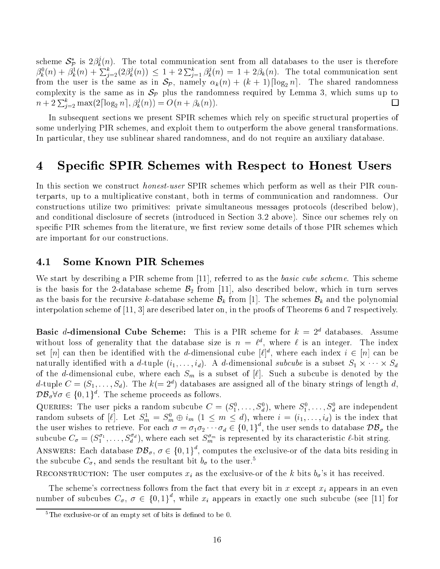scheme  $\mathcal{S}_{\mathcal{P}}^*$  is  $2\beta_k^j(n)$ . The total communication sent from all databases to the user is therefore  $\beta_k^0(n) + \beta_k^1(n) + \sum_{j=2}^k (2\beta_j)$  $j_k^j(n)) \leq 1 + 2 \sum_{j=1}^k \beta_j$  $\hat{f}_k(n) = 1 + 2\beta_k(n)$ . The total communication sent from the user is the same as in  $\mathcal{O}_\mathcal{P}$ , namely  $\alpha_k(n) + (\kappa + 1) \log_2 n$ . The shared randomness complexity is the same as in SP plus the same assembly for plus the random 3, which sums a which sums up to  $n+2\sum_{j=2}^k\max(2\lceil\log_2 n\rceil,\beta)$  $j_k^j(n)) = O(n + \beta_k(n)).$  $\Box$ 

In subsequent sections we present SPIR schemes which rely on specic structural properties of some underlying PIR schemes, and exploit them to outperform the above general transformations. In particular, they use sublinear shared randomness, and do not require an auxiliary database.

#### Specific SPIR Schemes with Respect to Honest Users  $\boldsymbol{4}$

In this section we construct *honest-user* SPIR schemes which perform as well as their PIR counterparts, up to a multiplicative constant, both in terms of communication and randomness. Our constructions utilize two primitives: private simultaneous messages protocols (described below), and conditional disclosure of secrets (introduced in Section 3.2 above). Since our schemes rely on specific PIR schemes from the literature, we first review some details of those PIR schemes which are important for our constructions.

#### 4.1 Some Known PIR Schemes

We start by describing a PIR scheme from [11], referred to as the *basic cube scheme*. This scheme is the basis for the 2-database scheme B2 from [11], also described below, which in turn serves as the basis for the recursive k-database scheme  $\mathcal{B}_k$  from [1]. The schemes  $\mathcal{B}_k$  and the polynomial interpolation scheme of [11, 3] are described later on, in the proofs of Theorems 6 and 7 respectively.

**Basic** d-dimensional Cube Scheme: This is a PIR scheme for  $k = 2^d$  databases. Assume without loss of generality that the database size is  $n = \ell^d$ , where  $\ell$  is an integer. The index set [n] can then be identified with the *d*-dimensional cube  $[\ell]^d$ , where each index  $i \in [n]$  can be maturally identified with a d-tuple  $(i_1,\ldots,i_d)$ . A d-dimensional subcube is a subset  $\beta_1 \times \cdots \times \beta_d$ of the d-dimensional cube, where each  $S_m$  is a subset of [ $\ell$ ]. Such a subcube is denoted by the d-tuple  $C = (S_1, \ldots, S_d)$ . The  $k (= 2^d)$  databases are assigned all of the binary strings of length d,  $\mathcal{DB}_{\sigma} \forall \sigma \in \{0,1\}^d$ . The scheme proceeds as follows.

QUERIES: The user picks a random subcube  $C = (S_1^0, \ldots, S_d^0)$ , where  $S_1^0, \ldots, S_d^0$  are independent random subsets of [ $\ell$ ]. Let  $S_m^1 = S_m^0 \oplus i_m$   $(1 \leq m \leq d)$ , where  $i = (i_1, \ldots, i_d)$  is the index that the user wishes to retrieve. For each  $\sigma = \sigma_1 \sigma_2 \cdots \sigma_d \in \{0,1\}^d$ , the user sends to database  $\mathcal{DB}_\sigma$  the subcube  $C_{\sigma} = (S_1^{\sigma_1}, \ldots, S_d^{\sigma_d})$ , where each set  $S_m^{\sigma_m}$  is represented by its characteristic  $\ell$ -bit string.

ANSWERS: Each database  $\mathcal{DB}_{\sigma}$ ,  $\sigma \in \{0,1\}^d$ , computes the exclusive-or of the data bits residing in the subcube  $C_{\sigma}$ , and sends the resultant bit  $b_{\sigma}$  to the user.<sup>5</sup>

RECONSTRUCTION: The user computes  $x_i$  as the exclusive-or of the k bits  $b_{\sigma}$ 's it has received.

The scheme's correctness follows from the fact that every bit in x except  $x_i$  appears in an even number of subcubes  $C_{\sigma}$ ,  $\sigma \in \{0,1\}^d$ , while  $x_i$  appears in exactly one such subcube (see [11] for

 $5$ The exclusive-or of an empty set of bits is defined to be 0.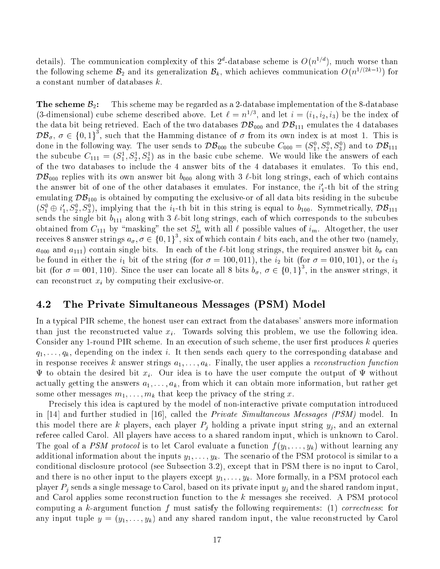details). The communication complexity of this  $2^d$ -database scheme is  $O(n^{1/d})$ , much worse than the following scheme  $\mathcal{B}_2$  and its generalization  $\mathcal{B}_k$ , which achieves communication  $O(n^{1/(2k-1)})$  for a constant number of databases k.

**The scheme**  $\mathcal{B}_2$ **:** This scheme may be regarded as a 2-database implementation of the 8-database (3-dimensional) cube scheme described above. Let  $\ell = n^{1/3}$ , and let  $i = (i_1, i_2, i_3)$  be the index of the data bit being retrieved. Each of the two databases DB000 and DB111 emulates the <sup>4</sup> databases  $\mathcal{DB}_{\sigma}$ ,  $\sigma \in \{0,1\}$ , such that the Hamming distance of  $\sigma$  from its own index is at most 1. This is done in the following way. The user sends to  $D_{000}$  the subcube  $C_{000} = (S_1, S_2, S_3)$  and to  $D_{0111}$  $\overline{\phantom{a}}$  $\overline{\phantom{a}}$  $\overline{\phantom{a}}$ the subcube  $C_{111} = (S_1^-, S_2^-, S_3^+)$  as in the basic cube scheme. We would like the answers of each of the two databases to include the 4 answer bits of the 4 databases it emulates. To this end,  $\sim$  0000 replies with its own answer bit book with an  $000$  along strings, each of which contains a replies of which contains the answer bit of one of the other databases it emulates. For instance, the  $i_1$ -th bit of the string emulating DB100 is obtained by computing the exclusive-or of all data bits residing in the subcube  $(S_1 \oplus i_1, S_2, S_3)$ , implying that the  $i_1$ -th bit in this string is equal to  $v_{100}$ . Symmetrically,  $DD_{111}$ sends the single bit b111 along with <sup>3</sup> `-bit long strings, each of which corresponds to the subcubes obtained from  $C_{111}$  by Thasking The set  $S_m^-$  with all  $\ell$  possible values of  $i_m$ . Altogether, the user receives 8 answer strings  $a_\sigma, \sigma \in \{0,1\}^*$ , six of which contain  $\ell$  bits each, and the other two (namely,  $\alpha_{000}$  and  $\alpha_{111}$ ) contain single bits. In each of the  $\epsilon$  bit long strings, the required answer bit  $\sigma_\sigma$  can be found in either the i1 bit of the string (for <sup>=</sup> 100; 011), the i2 bit (for <sup>=</sup> 010; 101), or the i3 bit (for  $\sigma = 001, 110$ ). Since the user can locate all 8 bits  $b_{\sigma}$ ,  $\sigma \in \{0, 1\}$ , in the answer strings, it can reconstruct  $x_i$  by computing their exclusive-or.

#### 4.2 The Private Simultaneous Messages (PSM) Model

In a typical PIR scheme, the honest user can extract from the databases' answers more information than just the reconstructed value  $x_i$ . Towards solving this problem, we use the following idea. Consider any 1-round PIR scheme. In an execution of such scheme, the user first produces  $k$  queries  $q_1, \ldots, q_k$ , depending on the index i. It then sends each query to the corresponding database and in response receives k answer strings  $a_1, \ldots, a_k$ . Finally, the user applies a *reconstruction function*  $\Psi$  to obtain the desired bit  $x_i$ . Our idea is to have the user compute the output of  $\Psi$  without actually getting the answers  $a_1, \ldots, a_k$ , from which it can obtain more information, but rather get some other messages  $m_1, \ldots, m_k$  that keep the privacy of the string x.

Precisely this idea is captured by the model of non-interactive private computation introduced in [14] and further studied in [16], called the Private Simultaneous Messages (PSM) model. In this model there are k players, each player  $P_i$  holding a private input string  $y_i$ , and an external referee called Carol. All players have access to a shared random input, which is unknown to Carol. The goal of a PSM protocol is to let Carol evaluate a function  $f(y_1, \ldots, y_k)$  without learning any additional information about the inputs  $y_1, \ldots, y_k$ . The scenario of the PSM protocol is similar to a conditional disclosure protocol (see Subsection 3.2), except that in PSM there is no input to Carol, and there is no other input to the players except  $y_1, \ldots, y_k$ . More formally, in a PSM protocol each player  $P_i$  sends a single message to Carol, based on its private input  $y_j$  and the shared random input, and Carol applies some reconstruction function to the k messages she received. A PSM protocol computing a k-argument function f must satisfy the following requirements: (1) correctness: for any input tuple  $y = (y_1, \ldots, y_k)$  and any shared random input, the value reconstructed by Carol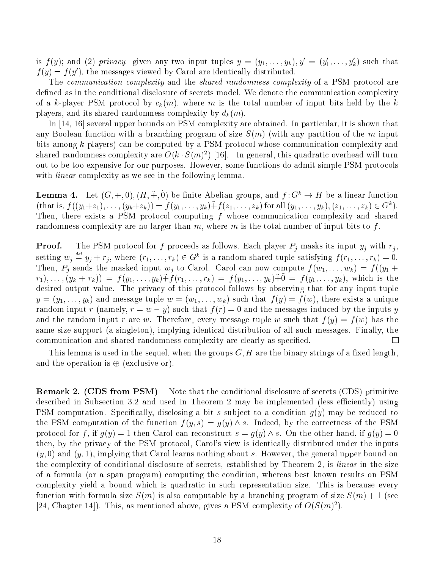is  $f(y)$ ; and (2) privacy: given any two input tuples  $y = (y_1, \ldots, y_k)$ ,  $y_0 = (y_1, \ldots, y_k)$  such that  $f(y) \equiv f(y)$ , the messages viewed by Carol are identically distributed.

The *communication complexity* and the *shared randomness complexity* of a PSM protocol are defined as in the conditional disclosure of secrets model. We denote the communication complexity of a k-player PSM protocol by  $c_k(m)$ , where m is the total number of input bits held by the k players, and its shared randomness complexity by  $d_k(m)$ .

In [14, 16] several upper bounds on PSM complexity are obtained. In particular, it is shown that any Boolean function with a branching program of size  $S(m)$  (with any partition of the m input bits among k players) can be computed by a PSM protocol whose communication complexity and shared randomness complexity are  $O(k \cdot S(m)^\gamma)$  [16]. The general, this quadratic overhead will turn out to be too expensive for our purposes. However, some functions do admit simple PSM protocols with *linear* complexity as we see in the following lemma.

**Lemma 4.** Let  $(G, +, 0), (H, \tilde{+}, 0)$  be finite Abelian groups, and  $f : G^k \to H$  be a linear function  $(\text{that is, } f((y_1+z_1), \ldots, (y_k+z_k)) = f(y_1, \ldots, y_k) + f(z_1, \ldots, z_k) \text{ for all } (y_1, \ldots, y_k), (z_1, \ldots, z_k) \in G^k).$ Then, there exists a PSM protocol computing  $f$  whose communication complexity and shared randomness complexity are no larger than  $m$ , where  $m$  is the total number of input bits to  $f$ .

**Proof.** The PSM protocol for f proceeds as follows. Each player  $P_j$  masks its input  $y_j$  with  $r_j$ , setting  $w_j \stackrel{\text{def}}{=} y_j + r_j$ , where  $(r_1, \ldots, r_k) \in G^k$  is a random shared tuple satisfying  $f(r_1, \ldots, r_k) = 0$ . Then,  $P_j$  sends the masked input  $w_j$  to Carol. Carol can now compute  $f(w_1, \ldots, w_k) = f((y_1 +$  $(r_1), \ldots, (y_k + r_k)) = f(y_1, \ldots, y_k) + f(r_1, \ldots, r_k) = f(y_1, \ldots, y_k) + \tilde{0} = f(y_1, \ldots, y_k)$ , which is the desired output value. The privacy of this protocol follows by observing that for any input tuple  $y = (y_1, \ldots, y_k)$  and message tuple  $w = (w_1, \ldots, w_k)$  such that  $f(y) = f(w)$ , there exists a unique random input r (namely,  $r = w - y$ ) such that  $f(r) = 0$  and the messages induced by the inputs y and the random input r are w. Therefore, every message tuple w such that  $f(y) = f(w)$  has the same size support (a singleton), implying identical distribution of all such messages. Finally, the communication and shared randomness complexity are clearly as specied.  $\Box$ 

This lemma is used in the sequel, when the groups  $G, H$  are the binary strings of a fixed length, and the operation is  $\oplus$  (exclusive-or).

Remark 2. (CDS from PSM) Note that the conditional disclosure of secrets (CDS) primitive described in Subsection 3.2 and used in Theorem 2 may be implemented (less efficiently) using PSM computation. Specifically, disclosing a bit s subject to a condition  $q(y)$  may be reduced to the PSM computation of the function  $f(y, s) = g(y) \wedge s$ . Indeed, by the correctness of the PSM protocol for f, if  $g(y) = 1$  then Carol can reconstruct  $s = g(y) \wedge s$ . On the other hand, if  $g(y) = 0$ then, by the privacy of the PSM protocol, Carol's view is identically distributed under the inputs  $(y, 0)$  and  $(y, 1)$ , implying that Carol learns nothing about s. However, the general upper bound on the complexity of conditional disclosure of secrets, established by Theorem 2, is linear in the size of a formula (or a span program) computing the condition, whereas best known results on PSM complexity yield a bound which is quadratic in such representation size. This is because every function with formula size  $S(m)$  is also computable by a branching program of size  $S(m) + 1$  (see  $[24, \text{ Chapter 14}]\right)$ . This, as mentioned above, gives a PSM complexity of  $O(S(m)^{*})$ .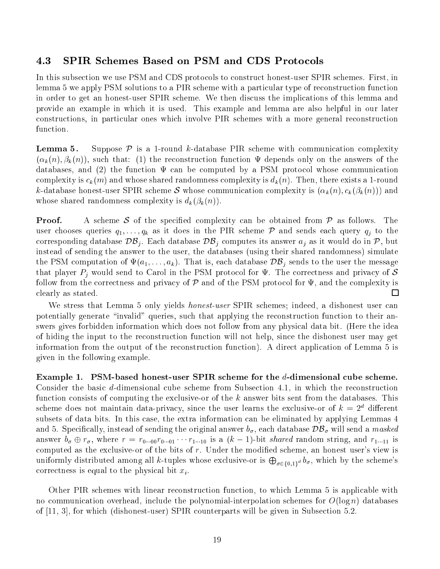### 4.3 SPIR Schemes Based on PSM and CDS Protocols

In this subsection we use PSM and CDS protocols to construct honest-user SPIR schemes. First, in lemma 5 we apply PSM solutions to a PIR scheme with a particular type of reconstruction function in order to get an honest-user SPIR scheme. We then discuss the implications of this lemma and provide an example in which it is used. This example and lemma are also helpful in our later constructions, in particular ones which involve PIR schemes with a more general reconstruction function.

**Lemma 5.** Suppose  $\mathcal{P}$  is a 1-round k-database PIR scheme with communication complexity  $(\alpha_k(n), \beta_k(n))$ , such that: (1) the reconstruction function  $\Psi$  depends only on the answers of the databases, and (2) the function  $\Psi$  can be computed by a PSM protocol whose communication complexity is  $c_k(m)$  and whose shared randomness complexity is  $d_k(n)$ . Then, there exists a 1-round k-database honest-user SPIR scheme S whose communication complexity is  $(\alpha_k(n), c_k(\beta_k(n)))$  and whose shared randomness complexity is  $d_k(\beta_k(n))$ .

**Proof.** A scheme S of the specified complexity can be obtained from  $P$  as follows. The user chooses queries  $q_1, \ldots, q_k$  as it does in the PIR scheme  $P$  and sends each query  $q_j$  to the corresponding database  $\mathcal{DB}_i$ . Each database  $\mathcal{DB}_i$  computes its answer  $a_i$  as it would do in  $\mathcal{P}$ , but instead of sending the answer to the user, the databases (using their shared randomness) simulate the PSM computation of  $\Psi(a_1,\ldots,a_k)$ . That is, each database  $\mathcal{DB}_j$  sends to the user the message that player  $P_j$  would send to Carol in the PSM protocol for  $\Psi$ . The correctness and privacy of S follow from the correctness and privacy of  $P$  and of the PSM protocol for  $\Psi$ , and the complexity is clearly as stated. 口

We stress that Lemma 5 only yields *honest-user* SPIR schemes; indeed, a dishonest user can potentially generate "invalid" queries, such that applying the reconstruction function to their answers gives forbidden information which does not follow from any physical data bit. (Here the idea of hiding the input to the reconstruction function will not help, since the dishonest user may get information from the output of the reconstruction function). A direct application of Lemma 5 is given in the following example.

Example 1. PSM-based honest-user SPIR scheme for the d-dimensional cube scheme. Consider the basic d-dimensional cube scheme from Subsection 4.1, in which the reconstruction function consists of computing the exclusive-or of the  $k$  answer bits sent from the databases. This scheme does not maintain data-privacy, since the user learns the exclusive-or of  $k = 2^d$  different subsets of data bits. In this case, the extra information can be eliminated by applying Lemmas 4 and 5. Specifically, instead of sending the original answer  $b_{\sigma}$ , each database  $\mathcal{DB}_{\sigma}$  will send a masked answer  $b_{\sigma} \oplus r_{\sigma}$ , where  $r = r_{0\cdots00}r_{0\cdots01}\cdots r_{1\cdots10}$  is a  $(k-1)$ -bit shared random string, and  $r_{1\cdots11}$  is computed as the exclusive-or of the bits of  $r$ . Under the modified scheme, an honest user's view is uniformly distributed among all *k*-tuples whose exclusive-or is  $\bigoplus_{\sigma \in \{0,1\}^d} b_\sigma,$  which by the scheme's correctness is equal to the physical bit  $x_i$ .

Other PIR schemes with linear reconstruction function, to which Lemma 5 is applicable with no communication overhead, include the polynomial-interpolation schemes for  $O(\log n)$  databases of [11, 3], for which (dishonest-user) SPIR counterparts will be given in Subsection 5.2.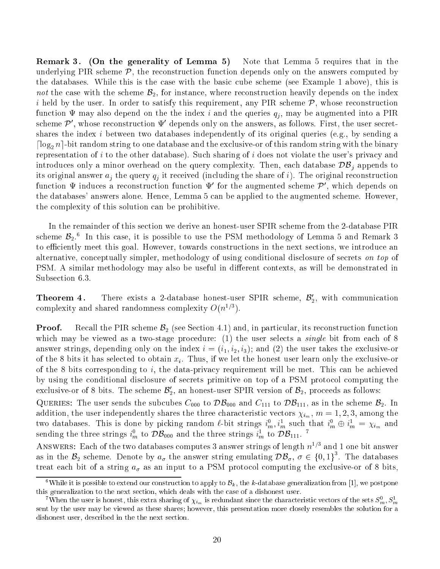Remark 3. (On the generality of Lemma 5) Note that Lemma 5 requires that in the underlying PIR scheme  $P$ , the reconstruction function depends only on the answers computed by the databases. While this is the case with the basic cube scheme (see Example 1 above), this is not the case with the scheme  $\mathcal{B}_2$ , for instance, where reconstruction heavily depends on the index i held by the user. In order to satisfy this requirement, any PIR scheme  $P$ , whose reconstruction function  $\Psi$  may also depend on the the index i and the queries  $q_i$ , may be augmented into a PIR scheme  $\mu$  , whose reconstruction  $\Psi$  depends only on the answers, as follows. First, the user secretshares the index i between two databases independently of its original queries (e.g., by sending a  $\mathcal{L}=\mathcal{O}$  is respective-or one database and the exclusive-ordinary contribution string with the binary  $\mathcal{L}$ representation of i to the other database). Such sharing of i does not violate the user's privacy and introduces only a minor overhead on the query complexity. Then, each database  $\mathcal{DB}_i$  appends to its original answer  $a_i$  the query  $q_i$  it received (including the share of i). The original reconstruction function  $\Psi$  induces a reconstruction function  $\Psi$  for the augmented scheme  $P$  , which depends on the databases' answers alone. Hence, Lemma 5 can be applied to the augmented scheme. However, the complexity of this solution can be prohibitive.

In the remainder of this section we derive an honest-user SPIR scheme from the 2-database PIR scheme  $\mathcal{D}_2.$  Th this case, it is possible to use the PSM methodology of Lemma 5 and Remark 5 to efficiently meet this goal. However, towards constructions in the next sections, we introduce an alternative, conceptually simpler, methodology of using conditional disclosure of secrets on top of PSM. A similar methodology may also be useful in different contexts, as will be demonstrated in Subsection 6.3.

**Theorem 4.** There exists a 2-database nonest-user SPIR scheme,  $D_2$ , with communication complexity and shared randomness complexity  $O(n^{1/3})$ .

 $\sim$  Proof. Recall the PIR scheme B2 (see Section 4.1) and, in particular, its reconstruction function function which may be viewed as a two-stage procedure: (1) the user selects a *single* bit from each of 8 answer strings, depending only on the index  $i = (i_1, i_2, i_3)$ ; and (2) the user takes the exclusive-or of the 8 bits it has selected to obtain  $x_i$ . Thus, if we let the honest user learn only the exclusive-or of the 8 bits corresponding to i, the data-privacy requirement will be met. This can be achieved by using the conditional disclosure of secrets primitive on top of a PSM protocol computing the exclusive-or of 8 bits. The scheme  $\mathcal{D}_2,$  an honest-user SPIR version of  $\mathcal{D}_2,$  proceeds as follows:

QUERIES: The user sends the subcubes  $C_{000}$  to  $\mathcal{DB}_{000}$  and  $C_{111}$  to  $\mathcal{DB}_{111}$ , as in the scheme  $\mathcal{B}_2$ . In addition, the user independently shares the three characteristic vectors  $\chi_{i_m}$ ,  $m = 1, 2, 3$ , among the two databases. This is done by picking random *t*-bit strings  $i_m, i_m$  such that  $i_m \oplus i_m = \chi_{i_m}$  and sending the three strings  $i_m^-$  to  $D\mathcal{D}_{000}$  and the three strings  $i_m^-$  to  $D\mathcal{D}_{111}$ .

ANSWERS: Each of the two databases computes 3 answer strings of length  $n^{1/3}$  and 1 one bit answer as in the  $\mathcal{B}_2$  scheme. Denote by  $a_\sigma$  the answer string emulating  $\mathcal{DB}_\sigma, \sigma \in \{0,1\}$ . The databases treat each bit of a string  $a_{\sigma}$  as an input to a PSM protocol computing the exclusive-or of 8 bits,

<sup>&</sup>lt;sup>6</sup>While it is possible to extend our construction to apply to  $B_k$ , the k-database generalization from [1], we postpone this generalization to the next section, which deals with the case of a dishonest user.

Twhen the user is honest, this extra sharing of  $\chi_{i_m}$  is redundant since the characteristic vectors of the sets  $S_m, S_m$ sent by the user may be viewed as these shares; however, this presentation more closely resembles the solution for a dishonest user, described in the the next section.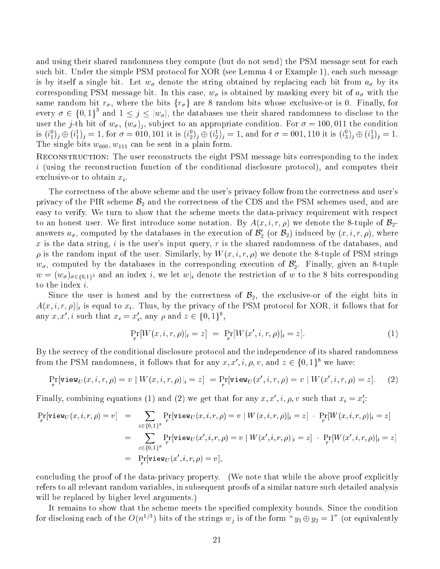and using their shared randomness they compute (but do not send) the PSM message sent for each such bit. Under the simple PSM protocol for XOR (see Lemma 4 or Example 1), each such message is by itself a single bit. Let  $w_{\sigma}$  denote the string obtained by replacing each bit from  $a_{\sigma}$  by its corresponding PSM message bit. In this case,  $w_{\sigma}$  is obtained by masking every bit of  $a_{\sigma}$  with the same random bit  $r_{\sigma}$ , where the bits  $\{r_{\sigma}\}\$  are 8 random bits whose exclusive-or is 0. Finally, for every  $\sigma \in \{0,1\}^*$  and  $1 \leq \gamma \leq |w_{\sigma}|$ , the databases use their shared randomness to disclose to the user the j-th bit of  $w_{\sigma}$ ,  $(w_{\sigma})_j$ , subject to an appropriate condition. For  $\sigma = 100,011$  the condition  $\alpha_1[i]_j \oplus (i_1^j)_j = 1$ , for  $\sigma = 010$ , for it is  $(i_2^j)_j \oplus (i_2^j)_j = 1$ , and for  $\sigma = 001$ , for it is  $(i_3^j)_j \oplus (i_3^j)_j = 1$ .  $\Omega$  can be sent in a plane in a plane in a plane in a plane in a plane in a plane in a plane in a plane in a plane in a plane in a plane in a plane in a plane in a plane in a plane in a plane in a plane in a plane in a p

RECONSTRUCTION: The user reconstructs the eight PSM message bits corresponding to the index i (using the reconstruction function of the conditional disclosure protocol), and computes their exclusive-or to obtain  $x_i$ .

The correctness of the above scheme and the user's privacy follow from the correctness and user's privacy of the PIR scheme B2 and the correctness of the CDS and the PSM schemes used, and are easy to verify. We turn to show that the scheme meets the data-privacy requirement with respect to an honest user. We first introduce some notation. By  $A(x, i, r, \rho)$  we denote the 8-tuple of  $\mathcal{B}_2$ answers  $a_\sigma,$  computed by the databases in the execution of  $\mathcal{D}_2$  (or  $\mathcal{D}_2$ ) induced by  $(x, \imath, r, \rho),$  where x is the data string, i is the user's input query,  $r$  is the shared randomness of the databases, and  $\rho$  is the random input of the user. Similarly, by  $W(x, i, r, \rho)$  we denote the 8-tuple of PSM strings  $w_{\sigma}$ , computed by the databases in the corresponding execution of  $\mathcal{D}_2$ . Finally, given an 8-tuple  $w = (w_{\sigma})_{\sigma \in \{0,1\}^3}$  and an index  $i$ , we let  $w_{\vert i}$  denote the restriction of w to the 8 bits corresponding to the index i.

Since the user is honest and by the correctness of  $\mathcal{B}_2$ , the exclusive-or of the eight bits in  $A(x, i, r, p)|i$  is equal to  $x_i$ . Thus, by the privacy of the FSM protocol for  $\Delta OR$ , it follows that for any  $x, x, i$  such that  $x_i = x_i$ , any  $\rho$  and  $z \in \{0, 1\}^{\mathbb{T}},$ 

$$
\Pr_r[W(x, i, r, \rho)]_i = z] = \Pr_r[W(x', i, r, \rho)]_i = z]. \tag{1}
$$

By the secrecy of the conditional disclosure protocol and the independence of its shared randomness from the PSM randomness, it follows that for any  $x, x, v, \rho, v$ , and  $z \in \{0, 1\}$  we have:

$$
\Pr_r[\mathbf{view}_U(x,i,r,\rho) = v \mid W(x,i,r,\rho)|_i = z] = \Pr_r[\mathbf{view}_U(x',i,r,\rho) = v \mid W(x',i,r,\rho) = z]. \tag{2}
$$

**r** many, combining equations (1) and (2) we get that for any  $x, x, v, \rho, v$  such that  $x_i = x_i$ :

$$
\Pr_r[\mathbf{view}_U(x,i,r,\rho) = v] = \sum_{z \in \{0,1\}^8} \Pr_r[\mathbf{view}_U(x,i,r,\rho) = v \mid W(x,i,r,\rho)|_i = z] \cdot \Pr_r[W(x,i,r,\rho)|_i = z]
$$
\n
$$
= \sum_{z \in \{0,1\}^8} \Pr_r[\mathbf{view}_U(x',i,r,\rho) = v \mid W(x',i,r,\rho)|_i = z] \cdot \Pr_r[W(x',i,r,\rho)|_i = z]
$$
\n
$$
= \Pr_r[\mathbf{view}_U(x',i,r,\rho) = v],
$$

concluding the proof of the data-privacy property. (We note that while the above proof explicitly refers to all relevant random variables, in subsequent proofs of a similar nature such detailed analysis will be replaced by higher level arguments.)

It remains to show that the scheme meets the specied complexity bounds. Since the condition for disclosing each of the  $O(n^{1/3})$  bits of the strings  $w_j$  is of the form "  $y_1 \oplus y_2 = 1$ " (or equivalently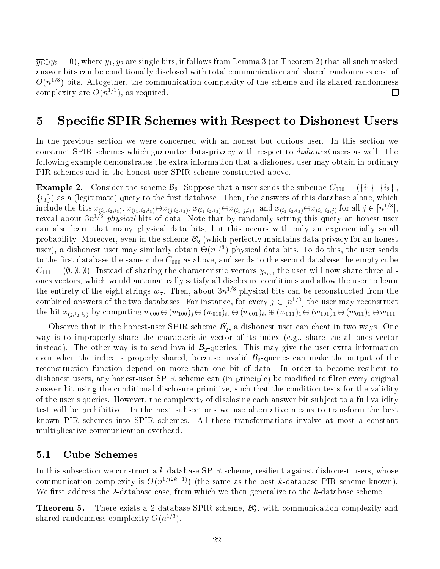$y$  , which it follows from  $y$  , it  $y$   $\Delta$  are single bits, it follows from Lemma  $3$  (or  $T$  massed masked masked masked masked masked masked masked masked masked masked masked masked masked masked masked masked maske answer bits can be conditionally disclosed with total communication and shared randomness cost of  $O(n^{1/3})$  bits. Altogether, the communication complexity of the scheme and its shared randomness complexity are  $O(n^{1/3})$ , as required.  $\Box$ 

## 5 Specic SPIR Schemes with Respect to Dishonest Users

In the previous section we were concerned with an honest but curious user. In this section we construct SPIR schemes which guarantee data-privacy with respect to dishonest users as well. The following example demonstrates the extra information that a dishonest user may obtain in ordinary PIR schemes and in the honest-user SPIR scheme constructed above.

Example 2. Consider the scheme B2. Suppose that a user sends the subcube C000 <sup>=</sup> (fi1g ; fi2g ; fi3g) as a (legitimate) query to the rst database. Then, the answers of this database alone, which  $\text{include the bits } x_{(i_1,i_2,i_3)},\, x_{(i_1,i_2,i_3)}\oplus x_{(j,i_2,i_3)},\, x_{(i_1,i_2,i_3)}\oplus x_{(i_1,j,i_3)},\, \text{and}\ x_{(i_1,i_2,i_3)}\oplus x_{(i_1,i_2,j)} \text{ for all } j\in [n^{1/3}],$ reveal about  $3n^{1/3}$  physical bits of data. Note that by randomly setting this query an honest user can also learn that many physical data bits, but this occurs with only an exponentially small probability. Moreover, even in the scheme  $\mathcal{D}_2$  (which perfectly maintains data-privacy for an honest user), a dishonest user may similarly obtain  $\Theta(n^{1/3})$  physical data bits. To do this, the user sends to the rst database the same cube C000 as above, and sends to the second database the empty cube  $C_{111} = (\psi, \psi, \psi).$  Instead of sharing the characteristic vectors  $\chi_{i_m},$  the user will now share three allones vectors, which would automatically satisfy all disclosure conditions and allow the user to learn the entirety of the eight strings  $w_{\sigma}$ . Then, about  $3n^{1/3}$  physical bits can be reconstructed from the combined answers of the two databases. For instance, for every  $j \in [n^{1/3}]$  the user may reconstruct the bit  $x_{(j,i_2,i_3)}$  by computing  $w_{000} \oplus (w_{100})_j \oplus (w_{010})_{i_2} \oplus (w_{001})_{i_3} \oplus (w_{011})_1 \oplus (w_{101})_1 \oplus w_{111}$ .

Observe that in the honest-user SPTR scheme  $\mathcal{D}_2,$  a dishonest user can cheat in two ways. One way is to improperly share the characteristic vector of its index (e.g., share the all-ones vector instead). The other way is to send invalid  $B_2$ -queries. This may give the user extra information even when the index is properly shared, because invalid  $B_2$ -queries can make the output of the reconstruction function depend on more than one bit of data. In order to become resilient to dishonest users, any honest-user SPIR scheme can (in principle) be modified to filter every original answer bit using the conditional disclosure primitive, such that the condition tests for the validity of the user's queries. However, the complexity of disclosing each answer bit subject to a full validity test will be prohibitive. In the next subsections we use alternative means to transform the best known PIR schemes into SPIR schemes. All these transformations involve at most a constant multiplicative communication overhead.

#### 5.1 Cube Schemes

In this subsection we construct a k-database SPIR scheme, resilient against dishonest users, whose communication complexity is  $O(n^{1/(2k-1)})$  (the same as the best k-database PIR scheme known). We first address the 2-database case, from which we then generalize to the  $k$ -database scheme.

**Theorem 5.** There exists a 2-database SPIR scheme,  $\mathcal{D}_2$ , with communication complexity and shared randomness complexity  $O(n^{1/3})$ .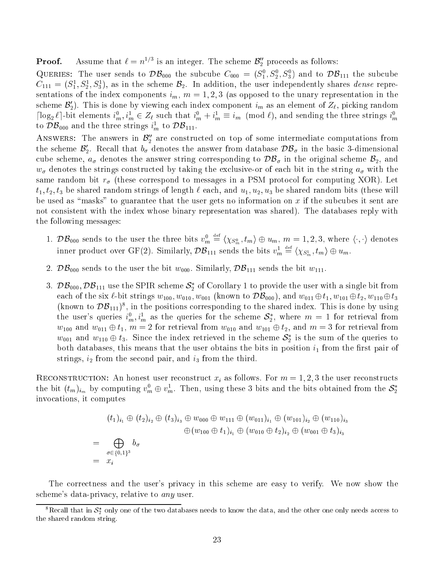**Proof.** Assume that  $\ell = n^{1/3}$  is an integer. The scheme  $\mathcal{B}_{2}^{\prime\prime}$  proceeds as follows:

QUERIES: The user sends to  ${\cal{DB}}_{000}$  the subcube  $C_{000}$  =  $(S_1^0, S_2^0, S_3^0)$  and to  ${\cal{DB}}_{111}$  the subcube  $C_{111} = (S_1, S_2, S_3)$ , as in the scheme  $\mathcal{D}_2$ . In addition, the user independently shares *dense* representations of the index components  $i_m$ ,  $m = 1, 2, 3$  (as opposed to the unary representation in the scheme  $\mathcal{D}_2$ ). This is done by viewing each index component  $\imath_m$  as an element of  $\mathcal{Z}_\ell,$  picking random  $\lceil \log_2 \ell \rceil$ -bit elements  $i_m^*, i_m^* \in \mathcal{Z}_\ell$  such that  $i_m^* + i_m^* \equiv i_m \pmod{\ell},$  and sending the three strings  $i_m^*$ to  $\nu_{D000}$  and the three strings  $\tau_m^-$  to  $\nu_{D111}.$ 

ANSWERS: The answers in  $\mathcal{B}_{2}''$  are constructed on top of some intermediate computations from the scheme  $\mathcal{D}_2$ . Recall that  $\theta_\sigma$  denotes the answer from database  $D\mathcal{D}_\sigma$  in the basic 3-dimensional cube scheme,  $a_{\sigma}$  denotes the answer string corresponding to  $\mathcal{DB}_{\sigma}$  in the original scheme  $\mathcal{B}_2$ , and  $w_{\sigma}$  denotes the strings constructed by taking the exclusive-or of each bit in the string  $a_{\sigma}$  with the same random bit  $r_{\sigma}$  (these correspond to messages in a PSM protocol for computing XOR). Let the shared random strings of length  $\begin{pmatrix} 1 & 1 \end{pmatrix}$  be shared random bits (these will be shared random bits ( be used as "masks" to guarantee that the user gets no information on  $x$  if the subcubes it sent are not consistent with the index whose binary representation was shared). The databases reply with the following messages:

- 1.  $\mathcal{DB}_{000}$  sends to the user the three bits  $v_m^{\omega} \equiv \langle \chi_{S_m^0}, t_m \rangle \oplus u_m, \, m = 1,2,3,$  where  $\langle \cdot, \cdot \rangle$  denotes inner product over GF(2). Similarly,  $\mathcal{DB}_{111}$  sends the bits  $v_m^+\equiv\langle\chi_{S_m^1},t_m\rangle\oplus u_m.$
- 2. DB000 sends to the user the bit w000. Similarly, DB111 sends the bit w111.
- 3.  $\nu_{\mathcal{D}_{000}},\nu_{\mathcal{D}_{111}}$  use the SPTR scheme  $\mathcal{S}_2$  of Corollary 1 to provide the user with a single bit from each of the six work with which would work with  $\alpha$  and work to DB000 (known to DB000), which we are written with work to DB0000 (known to DB0000), which we are written with work to DB0000 (known to DB0000 (known to DB00 (known to  $\nu_{\mathcal{B}_{111}}$ ), in the positions corresponding to the shared index. This is done by using the user's queries  $i_m^0, i_m^1$  as the queries for the scheme  $\mathcal{S}_2^*$ , where  $m=1$  for retrieval from w100 and wolf world with the communications serves would want with wit2, and with the serves from decession  $w_{001}$  and  $w_{110} \oplus \iota_3$ . Since the index retrieved in the scheme  $\mathcal{S}_2$  is the sum of the queries to both databases, this means that the user obtains the bits in position i1 from the rst pair of strings, i2 from the second pair, and i3 from the third.

RECONSTRUCTION: An honest user reconstruct  $x_i$  as follows. For  $m = 1, 2, 3$  the user reconstructs the bit  $(\iota_m)_{i_m}$  by computing  $v_m^{} \oplus v_m^-.$  Then, using these 3 bits and the bits obtained from the  $\mathcal{S}_2$ invocations, it computes

$$
(t_1)_{i_1} \oplus (t_2)_{i_2} \oplus (t_3)_{i_3} \oplus w_{000} \oplus w_{111} \oplus (w_{011})_{i_1} \oplus (w_{101})_{i_2} \oplus (w_{110})_{i_3}
$$
  

$$
\oplus (w_{100} \oplus t_1)_{i_1} \oplus (w_{010} \oplus t_2)_{i_2} \oplus (w_{001} \oplus t_3)_{i_3}
$$
  

$$
= \bigoplus_{\sigma \in \{0,1\}^3} b_{\sigma}
$$
  

$$
= x_i
$$

The correctness and the user's privacy in this scheme are easy to verify. We now show the scheme's data-privacy, relative to any user.

Recall that in  $\mathcal{S}_2$  only one of the two databases needs to know the data, and the other one only needs access to the shared random string.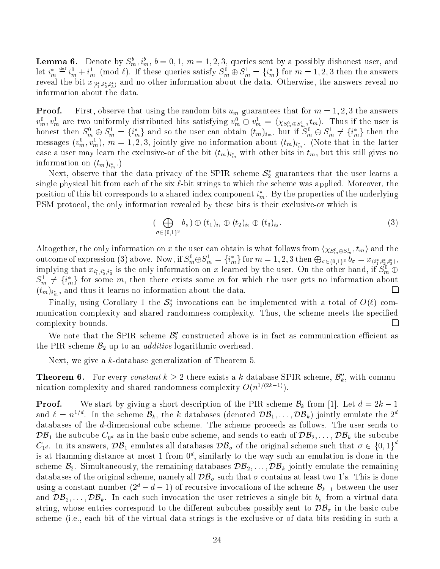**Lemma 6.** Denote by  $S_m^b$ ,  $i_m^b$ ,  $b = 0, 1, m = 1, 2, 3$ , queries sent by a possibly dishonest user, and let  $i_m^m \equiv i_m^o + i_m^l \pmod{l}$ . If these queries satisfy  $S_m^n \oplus S_m^n = \{i_m^s\}$  for  $m = 1, 2, 3$  then the answers reveal the bit  $x_{(i_1^*,i_2^*,i_3^*)}$  and no other information about the data. Otherwise, the answers reveal no information about the data.

**Proof.** First, observe that using the random bits  $u_m$  guarantees that for  $m = 1, 2, 3$  the answers  $v_m, v_m$  are two uniformly distributed bits satisfying  $v_m \oplus v_m^- = \langle \chi_{S_m^0 \oplus S_m^1}, \iota_m \rangle$ . Thus if the user is honest then  $S_m^+\oplus S_m^-=\{u_m\}$  and so the user can obtain  $(u_m)_{i_m},$  but if  $S_m^+\oplus S_m^-\neq \{u_m\}$  then the messages  $(v_m, v_m)$ ,  $m = 1, 2, 3$ , jointly give no information about  $(u_m)_{i_m^*}$ . (Note that in the latter case a user may learn the exclusive-or of the bit  $(\iota_m)_{i_m^*}$  with other bits in  $\iota_m$ , but this still gives no information on  $(\iota_m)_{i_m^*}$  .)

Next, observe that the data privacy of the SPTR scheme  $\mathcal{S}_2$  guarantees that the user learns a single physical bit from each of the six  $\ell$ -bit strings to which the scheme was applied. Moreover, the position of this bit corresponds to a shared index component  $\imath_m.$  By the properties of the underlying PSM protocol, the only information revealed by these bits is their exclusive-or which is

$$
\big(\bigoplus_{\sigma\in\{0,1\}^3} b_{\sigma}\big) \oplus (t_1)_{i_1} \oplus (t_2)_{i_2} \oplus (t_3)_{i_3}.\tag{3}
$$

Altogether, the only information on x the user can obtain is what follows from  $\langle \chi S^0_m \oplus S^1_m, \iota_m \rangle$  and the  $\text{outcome of expression (3) above. Now, if } S_m^0\oplus S_m^1=\{i_m^*\}\text{ for }m=1,2,3\text{ then }\oplus_{\sigma\in\{0,1\}^3}b_{\sigma}=x_{(i_1^*,i_2^*,i_3^*)},$ implying that  $x_{i_1^*,i_2^*,i_3^*}$  is the only information on  $x$  learned by the user. On the other hand, if  $S_m^0 \oplus$  $S_m^+ \neq \{i_m\}$  for some  $m$ , then there exists some  $m$  for which the user gets no information about  $\Box$  $(u_m)_{i_m^*}$ , and thus it learns no information about the data.

Finally, using Corollary 1 the  $\mathcal{S}_2$  invocations can be implemented with a total of  $O(\ell)$  communication complexity and shared randomness complexity. Thus, the scheme meets the specied complexity bounds.  $\Box$ 

We note that the SPIR scheme  $\mathcal{D}_2$  constructed above is in fact as communication enicient as the PIR scheme B2 up to an additional contract  $\Omega$ 

Next, we give a k-database generalization of Theorem 5.

**Theorem 6.** For every *constant*  $\kappa \geq 2$  there exists a  $\kappa$ -database SPIR scheme,  $\mathcal{D}_k$ , with communication complexity and shared randomness complexity  $O(n^{1/(2k-1)})$ .

**Proof.** We start by giving a short description of the PIR scheme  $\mathcal{B}_k$  from [1]. Let  $d = 2k - 1$ and  $\ell = n^{1/d}$ . In the scheme  $\mathcal{B}_k$ , the k databases (denoted  $\mathcal{DB}_1, \ldots, \mathcal{DB}_k$ ) jointly emulate the  $2^d$ databases of the d-dimensional cube scheme. The scheme proceeds as follows. The user sends to  $\nu_{\mathcal{D}_1}$  the subcube  $C_{0^d}$  as in the basic cube scheme, and sends to each of  $\nu_{\mathcal{D}_2}, \ldots, \nu_{\mathcal{D}_k}$  the subcube  $C_{\parallel a}$ . In for answers,  $D_{\parallel b}$  emulates all databases  $D_{\parallel b}$  of the original scheme such that  $\sigma \in [0,1]$ d is at Hamming distance at most 1 from  $0^d$ , similarly to the way such an emulation is done in the scheme  $\mathcal{B}_2$ . Simultaneously, the remaining databases  $\mathcal{DB}_2, \ldots, \mathcal{DB}_k$  jointly emulate the remaining databases of the original scheme, namely all  $\mathcal{DB}_\sigma$  such that  $\sigma$  contains at least two 1's. This is done using a constant number  $(2^d - d - 1)$  of recursive invocations of the scheme  $\mathcal{B}_{k-1}$  between the user and  $\mathcal{DB}_2, \ldots, \mathcal{DB}_k$ . In each such invocation the user retrieves a single bit  $b_{\sigma}$  from a virtual data string, whose entries correspond to the different subcubes possibly sent to  $\mathcal{DB}_\sigma$  in the basic cube scheme (i.e., each bit of the virtual data strings is the exclusive-or of data bits residing in such a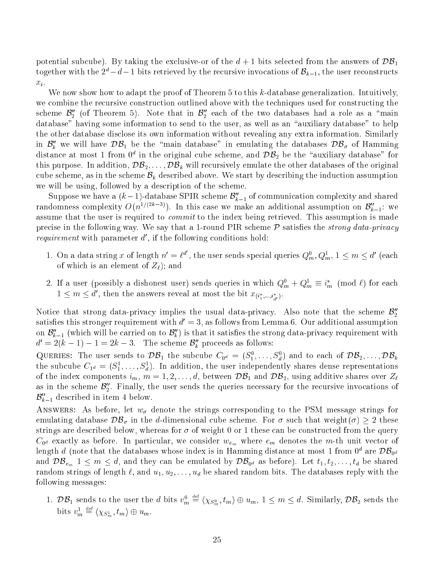potential subcube). By taking the exclusive-or of the  $d+1$  bits selected from the answers of  $\mathcal{DB}_1$ together with the  $2^d - d - 1$  bits retrieved by the recursive invocations of  $\mathcal{B}_{k-1}$ , the user reconstructs  $x_i$ .

We now show how to adapt the proof of Theorem 5 to this  $k$ -database generalization. Intuitively, we combine the recursive construction outlined above with the techniques used for constructing the scheme  $\mathcal{D}_2$  (of Theorem 5). Note that in  $\mathcal{D}_2$  each of the two databases had a role as a  $\,$  main database" having some information to send to the user, as well as an "auxiliary database" to help the other database disclose its own information without revealing any extra information. Similarly in  $\mathcal{D}_k$  we will have  $\nu\mathcal{D}_1$  be the -main database -in emulating the databases  $\nu\mathcal{D}_\sigma$  of Hamming distance at most 1 from  $0^d$  in the original cube scheme, and  $\mathcal{DB}_2$  be the "auxiliary database" for this purpose. In addition,  $\mathcal{DB}_2, \ldots, \mathcal{DB}_k$  will recursively emulate the other databases of the original cube scheme, as in the scheme  $B_k$  described above. We start by describing the induction assumption we will be using, followed by a description of the scheme.

Suppose we have a  $(\kappa - 1)$ -database SPIR scheme  $\mathcal{D}_{k-1}$  of communication complexity and shared randomness complexity  $O(n^{1/(2k-3)})$ . In this case we make an additional assumption on  $\mathcal{B}''_{k-1}$ : we assume that the user is required to *commit* to the index being retrieved. This assumption is made precise in the following way. We say that a 1-round PIR scheme  $P$  satisfies the *strong data-privacy requirement* with parameter  $a$ , if the following conditions hold:

- 1. On a data string x of length  $n' = \ell^{d'}$ , the user sends special queries  $Q_m^0, Q_m^1, 1 \le m \le d'$  (each of which is an element of  $Z_{\ell}$ ); and
- 2. It a user (possibly a dishonest user) sends queries in which  $Q_m^+ + Q_m^+ = \ell_m^-$  (mod  $\ell$ ) for each  $1\leq m\leq a\ ,\ {\rm then\,\, the\,\, answers\,\, reveal\,\, at\,\,most\,\, the\,\, but\,\,  $x_{(i_1^*,...,i_{d'}^*)}.$$

Notice that strong data-privacy implies the usual data-privacy. Also note that the scheme  $\mathcal{B}_2^0$ satisfies this stronger requirement with  $d' = 3$ , as follows from Lemma 6. Our additional assumption on  $\mathcal{D}_{k-1}$  (which will be carried on to  $\mathcal{D}_k$ ) is that it satisfies the strong data-privacy requirement with  $a = 2(k - 1) - 1 = 2k - 3$ . The scheme  $\mathcal{D}_k$  proceeds as follows:

QUERIES: The user sends to  $\mathcal{DB}_1$  the subcube  $C_{0^d}=(S_1^0,\ldots,S_d^0)$  and to each of  $\mathcal{DB}_2,\ldots,\mathcal{DB}_k$ the subcube  $C_{1^d} = (S_1, \ldots, S_d)$ . In addition, the user independently shares dense representations of the index components  $i_m$ ,  $m = 1, 2, ..., d$ , between  $\mathcal{DB}_1$  and  $\mathcal{DB}_2$ , using additive shares over  $Z_\ell$ as in the scheme  $\mathcal{D}_2$ . Finally, the user sends the queries necessary for the recursive invocations of  $\bm{\mathcal{D}}_{k-1}$  described in item 4 below.

ANSWERS: As before, let  $w_{\sigma}$  denote the strings corresponding to the PSM message strings for emulating database  $\mathcal{DB}_\sigma$  in the d-dimensional cube scheme. For  $\sigma$  such that weight( $\sigma$ )  $\geq 2$  these strings are described below, whereas for  $\sigma$  of weight 0 or 1 these can be constructed from the query  $C_{0^d}$  exactly as before. In particular, we consider  $w_{e_m}$  where  $e_m$  denotes the m-th unit vector of length  $d$  (note that the databases whose index is in Hamming distance at most 1 from  $0^d$  are  ${\cal{DB}}_{0^d}$ and  $\mathcal{DB}_{e_m}$   $1 \leq m \leq d$ , and they can be emulated by  $\mathcal{DB}_{0^d}$  as before). Let  $t_1, t_2, \ldots, t_d$  be shared random strings of length  $\ell$ , and  $u_1, u_2, \ldots, u_d$  be shared random bits. The databases reply with the following messages:

1.  $\mathcal{DB}_1$  sends to the user the d bits  $v_m^m \equiv \langle \chi_{S_m^0}, t_m \rangle \oplus u_m$ ,  $1 \leq m \leq d$ . Similarly,  $\mathcal{DB}_2$  sends the bits  $v_m^{\perp} = \langle \chi_{S_m^1}, t_m \rangle \oplus u_m$ .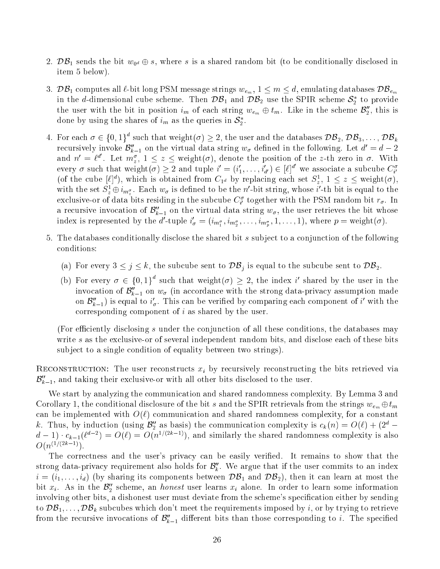- $\alpha$  decreases the bit w $0$  s, where s is a shared random bit (to be conditionally disclosed in item 5 below).
- $\theta$ . DB1 computes all  $\epsilon$  bit long PSM message strings  $w_{\ell_m},$  1  $\preceq$  m  $\preceq$  w, emulating databases D $\epsilon_{\ell_m}$ in the *a*-dimensional cube scheme. Then  $\nu\mathcal{D}_1$  and  $\nu\mathcal{D}_2$  use the SPIR scheme  $\mathcal{S}_2$  to provide the user with the bit in position  $i_m$  of each string  $w_{e_m} \oplus t_m$ . Like in the scheme  $\mathcal{B}'_2$ , this is done by using the shares of  $\imath_m$  as the queries in  $\mathcal{S}_2$ .
- 4. For each  $\sigma\in\{0,1\}^d$  such that weight $(\sigma)\geq 2,$  the user and the databases  $\mathcal{DB}_2,$   $\mathcal{DB}_3,\ldots,$   $\mathcal{DB}_k$ recursively invoke  $\mathcal{D}_{k-1}$  on the virtual data string  $w_\sigma$  defined in the following. Let  $a\,=\,a-\,z$ and  $n' = \ell^{d'}$ . Let  $m^{\sigma}_{z}$ ,  $1 \leq z \leq$  weight $(\sigma)$ , denote the position of the z-th zero in  $\sigma$ . With every  $\sigma$  such that weight $(\sigma) \geq 2$  and tuple  $i' = (i'_1, \ldots, i'_{d'}) \in [\ell]^{d'}$  we associate a subcube  $C^\sigma_{i'}$ (of the cube  $[\ell]^d$ ), which is obtained from  $C_{1^d}$  by replacing each set  $S_z^1$ ,  $1 \leq z \leq$  weight $(\sigma)$ , with the set  $S_z \oplus \imath_{m_z^{\sigma}}.$  Each  $w_{\sigma}$  is defined to be the  $n$  -bit string, whose  $\imath$  -th bit is equal to the exclusive-or of data bits residing in the subcube  $C_i^{\sigma}$  together with the PSM random bit  $r_{\sigma}$ . In a recursive invocation of  $\mathcal{D}_{k-1}$  on the virtual data string  $w_\sigma,$  the user retrieves the bit whose index is represented by the u-tuple  $i_{\sigma} = (i_{m_1^{\sigma}}, i_{m_2^{\sigma}}, \ldots, i_{m_n^{\sigma}}, 1, \ldots, 1)$ , where  $p = \text{weight}(o)$ .
- 5. The databases conditionally disclose the shared bit s subject to a conjunction of the following conditions:

–

<sup>p</sup>

- (a) For every  $3 \leq j \leq k$ , the subcube sent to  $\mathcal{DB}_i$  is equal to the subcube sent to  $\mathcal{DB}_2$ .
- (b) For every  $\sigma \in \{0,1\}^d$  such that weight $(\sigma) > 2$ , the index i' shared by the user in the invocation of  $\mathcal{D}_{k-1}$  on  $w_{\sigma}$  (in accordance with the strong data-privacy assumption made on  $\mathcal{D}_{k-1}$ ) is equal to  $\imath_{\sigma}$ . This can be verified by comparing each component of  $\imath$  with the corresponding component of i as shared by the user.

(For efficiently disclosing s under the conjunction of all these conditions, the databases may write  $s$  as the exclusive-or of several independent random bits, and disclose each of these bits subject to a single condition of equality between two strings).

RECONSTRUCTION: The user reconstructs  $x_i$  by recursively reconstructing the bits retrieved via  $\mathcal{D}_{k-1}$ , and taking their exclusive-or with all other bits disclosed to the user.

We start by analyzing the communication and shared randomness complexity. By Lemma 3 and Corollary 1, the conditional disclosure of the bit s and the SPIR retrievals from the strings  $w_{e_m} \oplus t_m$ can be implemented with  $O(\ell)$  communication and shared randomness complexity, for a constant k. Thus, by induction (using  $\mathcal{B}_2''$  as basis) the communication complexity is  $c_k(n) = O(\ell) + (2^d (d-1) \cdot c_{k-1}(\ell^{d-2}) = O(\ell) = O(n^{1/(2k-1)})$ , and similarly the shared randomness complexity is also  $O(n^{(1/(2k-1))})$ .

The correctness and the user's privacy can be easily verified. It remains to show that the strong data-privacy requirement also noids for  $\mathcal{D}_k$ . We argue that if the user commits to an index  $i = (i_1, \ldots, i_d)$  (by sharing its components between  $\mathcal{DB}_1$  and  $\mathcal{DB}_2$ ), then it can learn at most the bit  $x_i$ . As in the  $\mathcal{D}_2$  scheme, an *honest* user learns  $x_i$  alone. In order to learn some information involving other bits, a dishonest user must deviate from the scheme's specification either by sending to  $\mathcal{DB}_1,\ldots,\mathcal{DB}_k$  subcubes which don't meet the requirements imposed by i, or by trying to retrieve from the recursive invocations of  $\mathcal{D}_{k-1}$  different bits than those corresponding to  $i$ . The specified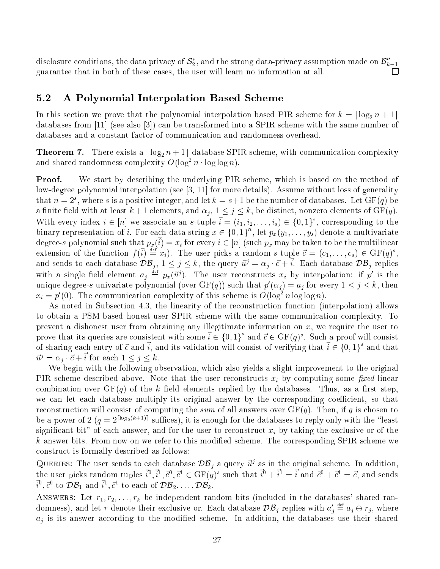disclosure conditions, the data privacy of  $\mathcal{S}_2,$  and the strong data-privacy assumption made on  $\mathcal{D}_{k-1}$  $\Box$ guarantee that in both of these cases, the user will learn no information at all.

### 5.2 A Polynomial Interpolation Based Scheme

In this section we prove that the polynomial interpretation based PIR scheme for the  $\alpha$  and  $\alpha$  and  $\alpha$ databases from [11] (see also [3]) can be transformed into a SPIR scheme with the same number of databases and a constant factor of communication and randomness overhead.

The contraction  $T$  and  $T$  is a discrete set of  $T$  scheme, with complexity complexity complexity complexity complexity complexity complexity complexity complexity complexity complexity complexity complexity complexity c and shared randomness complexity  $O(\log^2 n \cdot \log \log n)$ .

**Proof.** We start by describing the underlying PIR scheme, which is based on the method of low-degree polynomial interpolation (see [3, 11] for more details). Assume without loss of generality that  $n = 2<sup>s</sup>$ , where s is a positive integer, and let  $k = s+1$  be the number of databases. Let  $GF(q)$  be a finite field with at least  $k+1$  elements, and  $\alpha_j$ ,  $1 \leq j \leq k$ , be distinct, nonzero elements of  $GF(q)$ . With every index  $i \in [n]$  we associate an s-tuple  $\vec{i} = (i_1, i_2, \ldots, i_s) \in \{0, 1\}^s$ , corresponding to the binary representation of *i*. For each data string  $x \in \{0,1\}^n$ , let  $p_x(y_1,\ldots,y_s)$  denote a multivariate degree-s polynomial such that  $p_x(\vec{i}) = x_i$  for every  $i \in [n]$  (such  $p_x$  may be taken to be the multilinear extension of the function  $f(i) \equiv x_i$ . The user picks a random s-tuple  $\vec{c} = (c_1, \ldots, c_s) \in \text{GF}(q)^s$ , and sends to each database  $\mathcal{DB}_j$ ,  $1 \leq j \leq k$ , the query  $\vec{u}^j = \alpha_j \cdot \vec{c} + \vec{i}$ . Each database  $\mathcal{DB}_j$  replies with a single field element  $a_j \stackrel{\text{def}}{=} p_x(\vec{u}^j)$ . The user reconstructs  $x_i$  by interpolation: if  $p'$  is the unique degree-s univariate polynomial (over GF(q)) such that  $p\left(\alpha_{j}\right)=a_{j}$  for every  $1\leq j\leq\kappa,$  then  $x_i = p(0)$ . The communication complexity of this scheme is  $O(\log^2 n \log n)$ .

As noted in Subsection 4.3, the linearity of the reconstruction function (interpolation) allows to obtain a PSM-based honest-user SPIR scheme with the same communication complexity. To prevent a dishonest user from obtaining any illegitimate information on  $x$ , we require the user to prove that its queries are consistent with some  $\vec{i} \in \{0,1\}^s$  and  $\vec{c} \in \text{GF}(q)^s$ . Such a proof will consist of sharing each entry of  $\vec{c}$  and  $\vec{i}$ , and its validation will consist of verifying that  $i \in \{0, 1\}^s$  and that  $\vec{u}^j = \alpha_j \cdot \vec{c} + \vec{i}$  for each  $1 \leq j \leq k$ .

We begin with the following observation, which also yields a slight improvement to the original PIR scheme described above. Note that the user reconstructs  $x_i$  by computing some fixed linear combination over  $GF(q)$  of the k field elements replied by the databases. Thus, as a first step, we can let each database multiply its original answer by the corresponding coefficient, so that reconstruction will consist of computing the sum of all answers over  $GF(q)$ . Then, if q is chosen to be a power of 2  $(q = 2^{\lfloor \log_2(k+1) \rfloor}$  suffices), it is enough for the databases to reply only with the "least significant bit" of each answer, and for the user to reconstruct  $x_i$  by taking the exclusive-or of the k answer bits. From now on we refer to this modied scheme. The corresponding SPIR scheme we construct is formally described as follows:

QUERIES: The user sends to each database  ${\cal{DB}}_j$  a query  $\vec{u}^j$  as in the original scheme. In addition, the user picks random tuples  $i^0, i^1, \bar{c}^0, \bar{c}^1 \in \mathrm{GF}(q)^s$  such that  $i^0 + i^1 = i$  and  $\bar{c}^0 + \bar{c}^1 = \bar{c}$ , and sends  $i, c$  to  $\nu_{\mathcal{D}_1}$  and  $i, c$  to each of  $\nu_{\mathcal{D}_2}, \ldots, \nu_{\mathcal{D}_k}$ .

ANSWERS: Let  $r_1, r_2, \ldots, r_k$  be independent random bits (included in the databases' shared randomness), and let  $r$  denote their exclusive-or. Each database  $\mathcal{DB}_j$  replies with  $a_j'\equiv a_j\oplus r_j,$  where  $a_j$  is its answer according to the modified scheme. In addition, the databases use their shared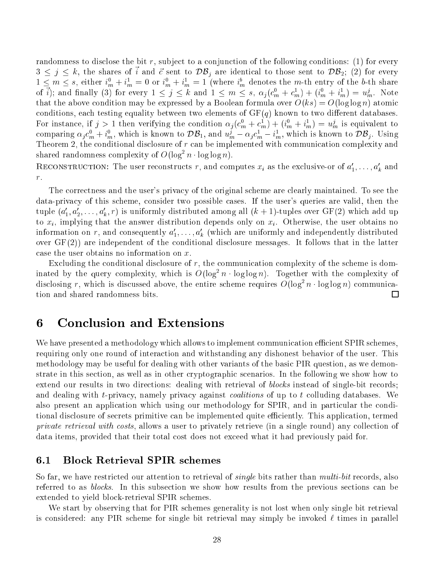randomness to disclose the bit r, subject to a conjunction of the following conditions: (1) for every  $3 \leq j \leq k$ , the shares of  $\vec{i}$  and  $\vec{c}$  sent to  $\vec{DB}_j$  are identical to those sent to  $\vec{DB}_2$ ; (2) for every  $1 \leq m \leq s$ , either  $i_m^0 + i_m^1 = 0$  or  $i_m^0 + i_m^1 = 1$  (where  $i_m^b$  denotes the m-th entry of the b-th share of  $\vec{i}$ ); and finally (3) for every  $1 \leq j \leq k$  and  $1 \leq m \leq s$ ,  $\alpha_j (c_m^0 + c_m^1) + (i_m^0 + i_m^1) = u_m^j$ . Note that the above condition may be expressed by a Boolean formula over  $O(ks) = O(\log \log n)$  atomic conditions, each testing equality between two elements of  $GF(q)$  known to two different databases. For instance, if  $j > 1$  then verifying the condition  $\alpha_j (c_m^0 + c_m^1) + (i_m^0 + i_m^1) = u_m^j$  is equivalent to comparing  $\alpha_j c_m^0 + i_m^0$ , which is known to  $\mathcal{DB}_1$ , and  $u_m^j - \alpha_j c_m^1 - i_m^1$ , which is known to  $\mathcal{DB}_j$ . Using Theorem 2, the conditional disclosure of r can be implemented with communication complexity and shared randomness complexity of  $U(\log^2 n \cdot \log \log n)$ .

RECONSTRUCTION: The user reconstructs  $r,$  and computes  $x_i$  as the exclusive-or of  $a'_1,\ldots,a'_k$  and  $\,r$  .

The correctness and the user's privacy of the original scheme are clearly maintained. To see the data-privacy of this scheme, consider two possible cases. If the user's queries are valid, then the tuple  $(a_1, a_2, \ldots, a_k, r)$  is unflormly distributed among all  $(\kappa + 1)$ -tuples over GF(2) which add up to  $x_i$ , implying that the answer distribution depends only on  $x_i$ . Otherwise, the user obtains no information on r, and consequently  $a_1, \ldots, a_k$  (which are uniformly and independently distributed over  $GF(2)$  are independent of the conditional disclosure messages. It follows that in the latter case the user obtains no information on x.

Excluding the conditional disclosure of  $r$ , the communication complexity of the scheme is dominated by the query complexity, which is  $O(\log |n + \log \log n)$ . Together with the complexity of disclosing r, which is discussed above, the entire scheme requires  $O(\log^2 n \cdot \log\log n)$  communication and shared randomness bits.  $\Box$ 

## 6 Conclusion and Extensions

We have presented a methodology which allows to implement communication efficient SPIR schemes, requiring only one round of interaction and withstanding any dishonest behavior of the user. This methodology may be useful for dealing with other variants of the basic PIR question, as we demonstrate in this section, as well as in other cryptographic scenarios. In the following we show how to extend our results in two directions: dealing with retrieval of *blocks* instead of single-bit records; and dealing with t-privacy, namely privacy against *coalitions* of up to t colluding databases. We also present an application which using our methodology for SPIR, and in particular the conditional disclosure of secrets primitive can be implemented quite efficiently. This application, termed private retrieval with costs, allows a user to privately retrieve (in a single round) any collection of data items, provided that their total cost does not exceed what it had previously paid for.

#### 6.1 Block Retrieval SPIR schemes

So far, we have restricted our attention to retrieval of *single* bits rather than *multi-bit* records, also referred to as *blocks*. In this subsection we show how results from the previous sections can be extended to yield block-retrieval SPIR schemes.

We start by observing that for PIR schemes generality is not lost when only single bit retrieval is considered: any PIR scheme for single bit retrieval may simply be invoked  $\ell$  times in parallel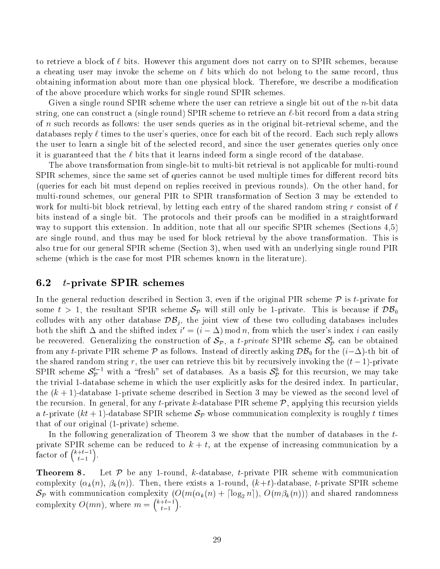to retrieve a block of  $\ell$  bits. However this argument does not carry on to SPIR schemes, because a cheating user may invoke the scheme on  $\ell$  bits which do not belong to the same record, thus obtaining information about more than one physical block. Therefore, we describe a modification of the above procedure which works for single round SPIR schemes.

Given a single round SPIR scheme where the user can retrieve a single bit out of the  $n$ -bit data string, one can construct a (single round) SPIR scheme to retrieve an  $\ell$ -bit record from a data string of n such records as follows: the user sends queries as in the original bit-retrieval scheme, and the databases reply  $\ell$  times to the user's queries, once for each bit of the record. Each such reply allows the user to learn a single bit of the selected record, and since the user generates queries only once it is guaranteed that the  $\ell$  bits that it learns indeed form a single record of the database.

The above transformation from single-bit to multi-bit retrieval is not applicable for multi-round SPIR schemes, since the same set of queries cannot be used multiple times for different record bits (queries for each bit must depend on replies received in previous rounds). On the other hand, for multi-round schemes, our general PIR to SPIR transformation of Section 3 may be extended to work for multi-bit block retrieval, by letting each entry of the shared random string r consist of  $\ell$ bits instead of a single bit. The protocols and their proofs can be modified in a straightforward way to support this extension. In addition, note that all our specific SPIR schemes (Sections 4,5) are single round, and thus may be used for block retrieval by the above transformation. This is also true for our general SPIR scheme (Section 3), when used with an underlying single round PIR scheme (which is the case for most PIR schemes known in the literature).

#### 6.2 t-private SPIR schemes

In the general reduction described in Section 3, even if the original PIR scheme  $\mathcal{P}$  is t-private for some to  $\epsilon$  ,  $\epsilon$  , the resultant SPIR scheme SP  $\epsilon$  will still still still still still still still still still  $0$ colludes with any other database  $\mathcal{DB}_j$ , the joint view of these two colluding databases includes both the shift  $\Delta$  and the shifted index  $i' = (i - \Delta) \bmod n$ , from which the user's index i can easily be recovered. Generalizing the construction of  $S_p$ , a *t-private* SPIR scheme  $S_p^t$  can be obtained from any t-private PIR scheme P as follows. Instead of directly assumed  $\sigma$  if  $0$  for the (i)-th bit of  $\sigma$ the shared random string r, the user can retrieve this bit by recursively invoking the  $(t - 1)$ -private SPIR scheme  $S_{\cal P}^{t-1}$  with a "fresh" set of databases. As a basis  $S_{\cal P}^0$  for this recursion, we may take Personal contract the contract of the contract of the contract of the contract of the contract of the contract of the contract of the contract of the contract of the contract of the contract of the contract of the contract the trivial 1-database scheme in which the user explicitly asks for the desired index. In particular, the  $(k + 1)$ -database 1-private scheme described in Section 3 may be viewed as the second level of the recursion. In general, for any t-private k-database PIR scheme  $\mathcal{P}$ , applying this recursion yields a t-private (kt + 1)-database SPIR scheme SP whose communication complexity is roughly that the times that of our original (1-private) scheme.

In the following generalization of Theorem 3 we show that the number of databases in the tprivate SPIR scheme can be reduced to  $k + t$ , at the expense of increasing communication by a factor of  $\binom{k+t-1}{k}$  $t-1$  $\sim$ 

**Theorem 8.** Let  $P$  be any 1-round, k-database, t-private PIR scheme with communication complexity  $(\alpha_k(n), \beta_k(n))$ . Then, there exists a 1-round,  $(k+t)$ -database, t-private SPIR scheme  $\mathcal{S}_{\mathcal{P}}$  with communication complexity  $\{\mathcal{O}(m(\alpha_k(n) + |\log_2 n|), \mathcal{O}(m\rho_k(n)))\}$  and shared randomness complexity O(mail is a series made of  $\sim$  $(k+t-1)$  $t-1$  $\sim$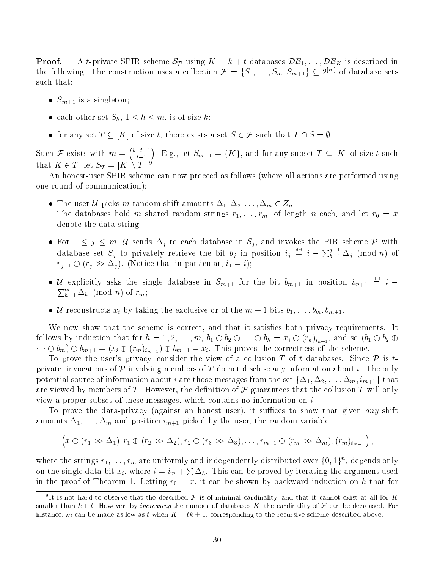**Froof.** A t-private Strik scheme  $\mathcal{O}_p$  using  $K = k + t$  databases  $DD_1, \ldots, DD_K$  is described in the following. The construction uses a collection  $\mathcal{F} = \{S_1, \ldots, S_m, S_{m+1}\} \subseteq 2^{|K|}$  of database sets such that:

- $\sim$   $\omega$ <sub>m+1</sub> is a singleton;
- **e** each other set  $\mathcal{D}_h$ ,  $1 \leq h \leq m$ , is of size  $\kappa$ ,
- for any set  $\Gamma$  any set  $\Gamma$  and there exists a set  $\Gamma$  such that T  $\Gamma$  such that T  $\Gamma$  such that T  $\Gamma$

 $(k+t-1)$  $t-1$  $\sim$ . E.g., i.e.  $\omega_{m+1} = \mu_1$ , and for any subset  $\tau \leq \mu_1$  of size t such that  $K \in I$ , let  $S_T = |K| / I$ .

An honest-user SPIR scheme can now proceed as follows (where all actions are performed using one round of communication):

- $\bullet$  The user  $\alpha$  picks *m* random shift amounts  $\blacktriangle_1$ ;  $\blacktriangle_2$ ,  $\ldots$ ,  $\blacktriangle_m$   $\in$   $\mathbb{Z}_n$ , The databases hold m shared random strings  $r_1, \ldots, r_m$ , of length n each, and let  $r_0 = x$ denote the data string.
- For  $1 \leq j \leq m$ ,  $\alpha$  sends  $\Delta_j$  to each database in  $S_j$ , and invokes the PIR scheme P with database set  $S_j$  to privately retrieve the bit  $b_j$  in position  $i_j \stackrel{\text{def}}{=} i - \sum_{h=1}^{j-1} \Delta_j \pmod{n}$  of  $r_{j-1} \oplus (r_j \gg \Delta_j)$ . (Notice that in particular,  $i_1 = i$ );
- U explicitly asks the single database in  $S_{m+1}$  for the bit  $b_{m+1}$  in position  $i_{m+1} \equiv i \sum_{h=1}^m \Delta_h \pmod{n}$  of  $r_m$ ;
- $\bullet$  *U* reconstructs  $x_i$  by taking the exclusive-or of the  $m + 1$  bits  $v_1, \ldots, v_m, v_{m+1}$ .

We now show that the scheme is correct, and that it satisfies both privacy requirements. It follows by induction that for  $n = 1, 2, \ldots, m$ ,  $v_1 \oplus v_2 \oplus \cdots \oplus v_h = x_i \oplus (r_h)_{i_{h+1}}$ , and so  $(v_1 \oplus v_2 \oplus v_1)$  $\cdots \oplus v_m$ )  $\oplus v_{m+1} = (x_i \oplus (r_m)_{i_{m+1}}) \oplus v_{m+1} = x_i$ . This proves the correctness of the scheme.

To prove the user's privacy, consider the view of a collusion T of t databases. Since  $\mathcal P$  is tprivate, invocations of  $\mathcal P$  involving members of  $T$  do not disclose any information about i. The only potential source of information about i are those messages from the set  $\{\Delta_1, \Delta_2, \ldots, \Delta_m, i_{m+1}\}\$  that are viewed by members of T. However, the definition of  $\mathcal F$  guarantees that the collusion T will only view a proper subset of these messages, which contains no information on  $i$ .

To prove the data-privacy (against an honest user), it suffices to show that given any shift amounts  $\Delta_1, \ldots, \Delta_m$  and position  $i_{m+1}$  picked by the user, the random variable

$$
(x \oplus (r_1 \gg \Delta_1), r_1 \oplus (r_2 \gg \Delta_2), r_2 \oplus (r_3 \gg \Delta_3), \ldots, r_{m-1} \oplus (r_m \gg \Delta_m), (r_m)_{i_{m+1}})
$$

where the strings  $r_1, \ldots, r_m$  are uniformly and independently distributed over  $\{0,1\}^n$ , depends only on the single data bit  $x_i$ , where  $i = i_m + \sum \Delta_h$ . This can be proved by iterating the argument used in the proof of  $\alpha$  and  $\alpha$  is can be shown by backward induction on h that for  $\alpha$ 

It is not hard to observe that the described  ${\cal F}$  is of minimal cardinality, and that it cannot exist at all for  $K$ smaller than  $k + t$ . However, by increasing the number of databases K, the cardinality of  $\mathcal F$  can be decreased. For instance, m can be made as low as t when  $K = tk + 1$ , corresponding to the recursive scheme described above.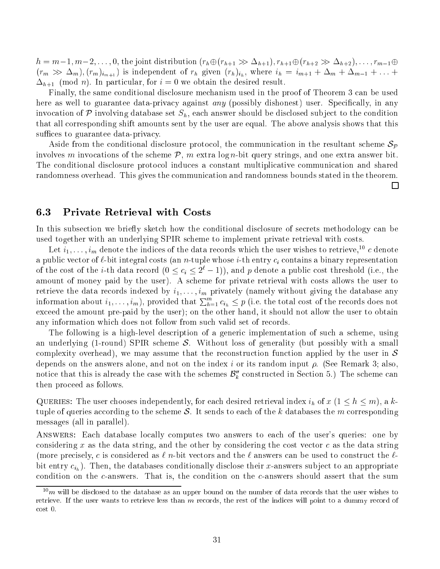$h = m-1, m-2, \ldots, 0$ , the joint distribution  $(r_h \oplus (r_{h+1} \gg \Delta_{h+1}), r_{h+1} \oplus (r_{h+2} \gg \Delta_{h+2}), \ldots, r_{m-1} \oplus$  $(n_m \gg \Delta_m)$ ,  $(n_m)_{i_{m+1}}$  is independent of  $n_h$  given  $(n_h)_{i_h}$ , where  $i_h = i_{m+1} + \Delta_m + \Delta_{m-1} + \ldots$  $\Delta_{h+1}$  (mod *n*). In particular, for  $i = 0$  we obtain the desired result.

Finally, the same conditional disclosure mechanism used in the proof of Theorem 3 can be used here as well to guarantee data-privacy against *any* (possibly dishonest) user. Specifically, in any invocation of  $P$  involving database set  $S_h$ , each answer should be disclosed subject to the condition that all corresponding shift amounts sent by the user are equal. The above analysis shows that this suffices to guarantee data-privacy.

Aside from the conditional disclosure protocol, the communication in the resultant scheme  $S_{\mathcal{P}}$ involves m invocations of the scheme  $P$ , m extra log n-bit query strings, and one extra answer bit. The conditional disclosure protocol induces a constant multiplicative communication and shared randomness overhead. This gives the communication and randomness bounds stated in the theorem.

 $\Box$ 

#### 6.3 Private Retrieval with Costs

In this subsection we briefly sketch how the conditional disclosure of secrets methodology can be used together with an underlying SPIR scheme to implement private retrieval with costs.

Let  $i_1, \ldots, i_m$  denote the indices of the data records which the user wishes to retrieve,<sup>10</sup> c denote a public vector of  $\ell$ -bit integral costs (an *n*-tuple whose *i*-th entry  $c_i$  contains a binary representation of the cost of the *i*-th data record  $(0 \le c_i \le 2^{\ell} - 1)$ , and p denote a public cost threshold (i.e., the amount of money paid by the user). A scheme for private retrieval with costs allows the user to retrieve the data records indexed by  $i_1, \ldots, i_m$  privately (namely without giving the database any information about  $i_1,\ldots,i_m),$  provided that  $\sum_{h=1}^m c_{i_h}\leq p$  (i.e. the total cost of the records does not exceed the amount pre-paid by the user); on the other hand, it should not allow the user to obtain any information which does not follow from such valid set of records.

The following is a high-level description of a generic implementation of such a scheme, using an underlying (1-round) SPIR scheme S. Without loss of generality (but possibly with a small complexity overhead), we may assume that the reconstruction function applied by the user in  $\mathcal S$ depends on the answers alone, and not on the index i or its random input  $\rho$ . (See Remark 3; also, notice that this is already the case with the schemes  $\mathcal{D}_k$  constructed in Section 5.) The scheme can then proceed as follows.

QUERIES: The user chooses independently, for each desired retrieval index  $i_h$  of  $x$  ( $1 \le h \le m$ ), a ktuple of queries according to the scheme  $S$ . It sends to each of the k databases the m corresponding messages (all in parallel).

Answers: Each database locally computes two answers to each of the user's queries: one by considering  $x$  as the data string, and the other by considering the cost vector  $c$  as the data string (more precisely, c is considered as  $\ell$  n-bit vectors and the  $\ell$  answers can be used to construct the  $\ell$ bit entry  $c_{i_h}$ ). Then, the databases conditionally disclose their x-answers subject to an appropriate condition on the c-answers. That is, the condition on the c-answers should assert that the sum

 $10m$  will be disclosed to the database as an upper bound on the number of data records that the user wishes to retrieve. If the user wants to retrieve less than <sup>m</sup> records, the rest of the indices will point to a dummy record of cost 0.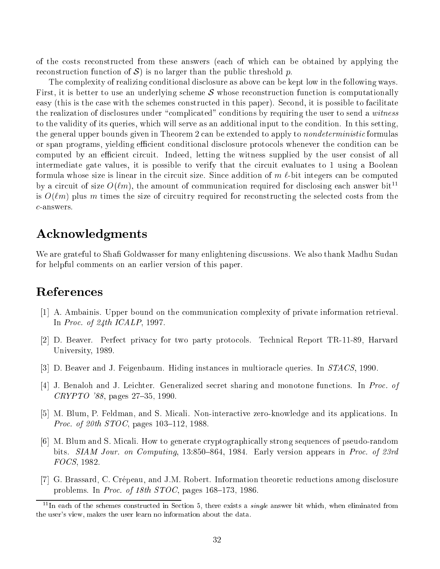of the costs reconstructed from these answers (each of which can be obtained by applying the reconstruction function of S) is no larger than the public threshold p.

The complexity of realizing conditional disclosure as above can be kept low in the following ways. First, it is better to use an underlying scheme  $\mathcal S$  whose reconstruction function is computationally easy (this is the case with the schemes constructed in this paper). Second, it is possible to facilitate the realization of disclosures under "complicated" conditions by requiring the user to send a witness to the validity of its queries, which will serve as an additional input to the condition. In this setting, the general upper bounds given in Theorem 2 can be extended to apply to nondeterministic formulas or span programs, yielding efficient conditional disclosure protocols whenever the condition can be computed by an efficient circuit. Indeed, letting the witness supplied by the user consist of all intermediate gate values, it is possible to verify that the circuit evaluates to 1 using a Boolean formula whose size is linear in the circuit size. Since addition of  $m \ell$ -bit integers can be computed by a circuit of size  $O(\ell m)$ , the amount of communication required for disclosing each answer bit<sup>11</sup> is  $O(\ell m)$  plus m times the size of circuitry required for reconstructing the selected costs from the c-answers.

## Acknowledgments

We are grateful to Shafi Goldwasser for many enlightening discussions. We also thank Madhu Sudan for helpful comments on an earlier version of this paper.

## References

- [1] A. Ambainis. Upper bound on the communication complexity of private information retrieval. In Proc. of 24th ICALP, 1997.
- [2] D. Beaver. Perfect privacy for two party protocols. Technical Report TR-11-89, Harvard University, 1989.
- [3] D. Beaver and J. Feigenbaum. Hiding instances in multioracle queries. In  $STACS$ , 1990.
- [4] J. Benaloh and J. Leichter. Generalized secret sharing and monotone functions. In *Proc. of*  $CRYPTO$  '88, pages 27-35, 1990.
- [5] M. Blum, P. Feldman, and S. Micali. Non-interactive zero-knowledge and its applications. In *Proc. of 20th STOC*, pages  $103-112$ , 1988.
- [6] M. Blum and S. Micali. How to generate cryptographically strong sequences of pseudo-random bits. SIAM Jour. on Computing, 13:850–864, 1984. Early version appears in Proc. of 23rd FOCS, 1982.
- [7] G. Brassard, C. Crepeau, and J.M. Robert. Information theoretic reductions among disclosure problems. In *Proc. of 18th STOC*, pages 168–173, 1986.

 $11$ In each of the schemes constructed in Section 5, there exists a *single* answer bit which, when eliminated from the user's view, makes the user learn no information about the data.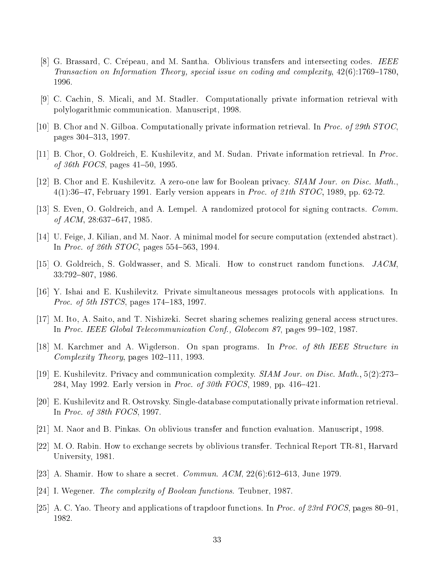- [8] G. Brassard, C. Crépeau, and M. Santha. Oblivious transfers and intersecting codes. IEEE Transaction on Information Theory, special issue on coding and complexity,  $42(6):1769{-}1780$ 1996.
- [9] C. Cachin, S. Micali, and M. Stadler. Computationally private information retrieval with polylogarithmic communication. Manuscript, 1998.
- [10] B. Chor and N. Gilboa. Computationally private information retrieval. In Proc. of 29th STOC, pages 304-313, 1997.
- [11] B. Chor, O. Goldreich, E. Kushilevitz, and M. Sudan. Private information retrieval. In Proc. *of 36th FOCS*, pages  $41–50$ , 1995.
- [12] B. Chor and E. Kushilevitz. A zero-one law for Boolean privacy. *SIAM Jour. on Disc. Math.*,  $4(1):36-47$ , February 1991. Early version appears in *Proc. of 21th STOC*, 1989, pp. 62-72.
- [13] S. Even, O. Goldreich, and A. Lempel. A randomized protocol for signing contracts. Comm. of  $ACM$ , 28:637-647, 1985.
- [14] U. Feige, J. Kilian, and M. Naor. A minimal model for secure computation (extended abstract). In *Proc. of 26th STOC*, pages  $554-563$ , 1994.
- [15] O. Goldreich, S. Goldwasser, and S. Micali. How to construct random functions. JACM, 33:792-807, 1986.
- [16] Y. Ishai and E. Kushilevitz. Private simultaneous messages protocols with applications. In *Proc. of 5th ISTCS*, pages  $174-183$ , 1997.
- [17] M. Ito, A. Saito, and T. Nishizeki. Secret sharing schemes realizing general access structures. In Proc. IEEE Global Telecommunication Conf., Globecom 87, pages  $99-102$ , 1987.
- [18] M. Karchmer and A. Wigderson. On span programs. In Proc. of 8th IEEE Structure in Complexity Theory, pages  $102-111$ , 1993.
- [19] E. Kushilevitz. Privacy and communication complexity.  $SIAM\,Jour.$  on Disc. Math.,  $5(2):273-$ 284, May 1992. Early version in *Proc. of 30th FOCS*, 1989, pp. 416–421.
- [20] E. Kushilevitz and R. Ostrovsky. Single-database computationally private information retrieval. In Proc. of 38th FOCS, 1997.
- [21] M. Naor and B. Pinkas. On oblivious transfer and function evaluation. Manuscript, 1998.
- [22] M. O. Rabin. How to exchange secrets by oblivious transfer. Technical Report TR-81, Harvard University, 1981.
- [23] A. Shamir. How to share a secret. *Commun. ACM*,  $22(6)$ :612–613, June 1979.
- [24] I. Wegener. The complexity of Boolean functions. Teubner, 1987.
- [25] A. C. Yao. Theory and applications of trapdoor functions. In Proc. of 23rd FOCS, pages 80–91, 1982.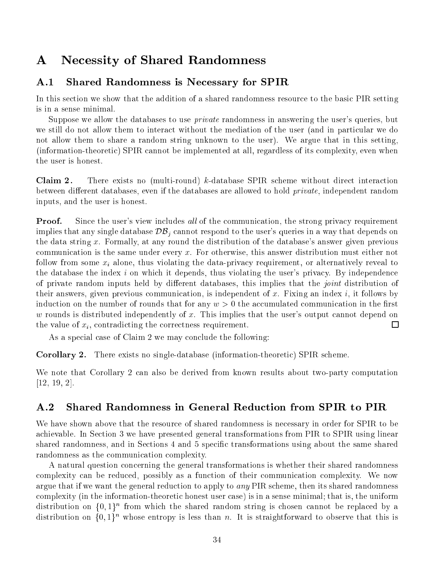#### Necessity of Shared Randomness  $\mathbf A$

#### A.1 Shared Randomness is Necessary for SPIR

In this section we show that the addition of a shared randomness resource to the basic PIR setting is in a sense minimal.

Suppose we allow the databases to use *private* randomness in answering the user's queries, but we still do not allow them to interact without the mediation of the user (and in particular we do not allow them to share a random string unknown to the user). We argue that in this setting, (information-theoretic) SPIR cannot be implemented at all, regardless of its complexity, even when the user is honest.

Claim 2. There exists no (multi-round) k-database SPIR scheme without direct interaction between different databases, even if the databases are allowed to hold *private*, independent random inputs, and the user is honest.

**Proof.** Since the user's view includes all of the communication, the strong privacy requirement implies that any single database  $\mathcal{DB}_i$  cannot respond to the user's queries in a way that depends on the data string x. Formally, at any round the distribution of the database's answer given previous communication is the same under every x. For otherwise, this answer distribution must either not follow from some  $x_i$  alone, thus violating the data-privacy requirement, or alternatively reveal to the database the index  $i$  on which it depends, thus violating the user's privacy. By independence of private random inputs held by different databases, this implies that the *joint* distribution of their answers, given previous communication, is independent of x. Fixing an index  $i$ , it follows by induction on the number of rounds that for any  $w > 0$  the accumulated communication in the first w rounds is distributed independently of x. This implies that the user's output cannot depend on the value of  $x_i$ , contradicting the correctness requirement. 口

As a special case of Claim 2 we may conclude the following:

Corollary 2. There exists no single-database (information-theoretic) SPIR scheme.

We note that Corollary 2 can also be derived from known results about two-party computation [12, 19, 2].

### A.2 Shared Randomness in General Reduction from SPIR to PIR

We have shown above that the resource of shared randomness is necessary in order for SPIR to be achievable. In Section 3 we have presented general transformations from PIR to SPIR using linear shared randomness, and in Sections 4 and 5 specic transformations using about the same shared randomness as the communication complexity.

A natural question concerning the general transformations is whether their shared randomness complexity can be reduced, possibly as a function of their communication complexity. We now argue that if we want the general reduction to apply to *any*  $PIR$  scheme, then its shared randomness complexity (in the information-theoretic honest user case) is in a sense minimal; that is, the uniform distribution on  $\{0,1\}^n$  from which the shared random string is chosen cannot be replaced by a distribution on  $\{0,1\}^n$  whose entropy is less than n. It is straightforward to observe that this is